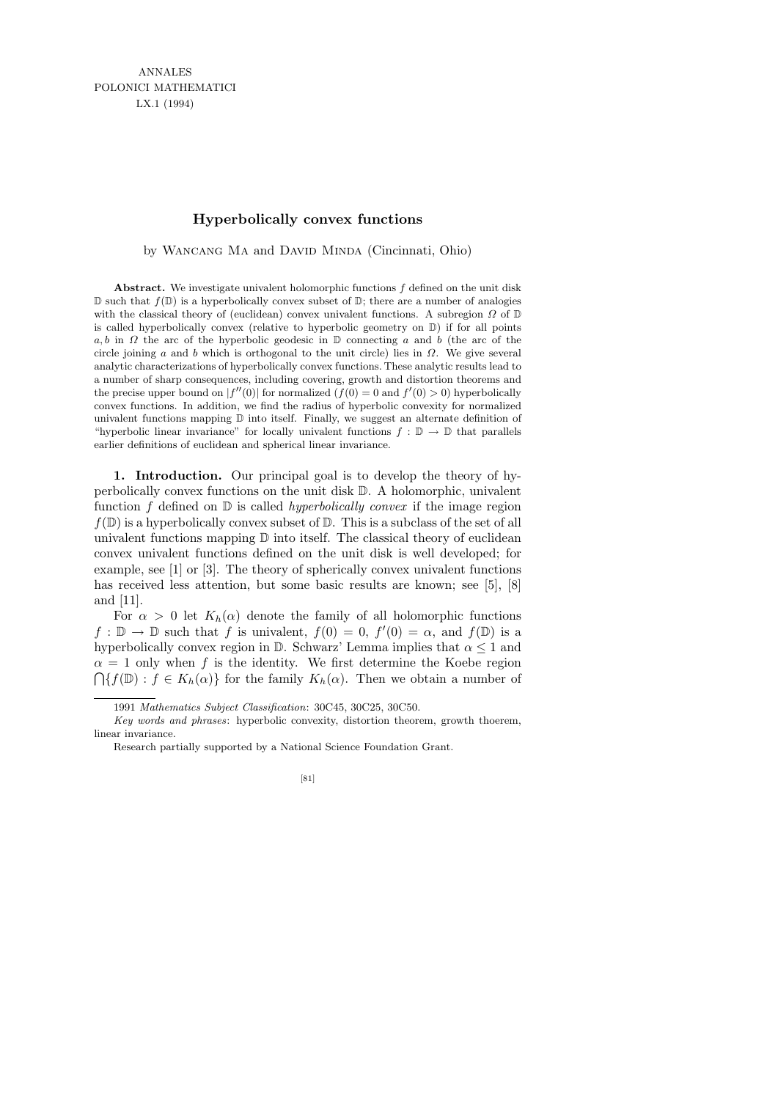ANNALES POLONICI MATHEMATICI LX.1 (1994)

## **Hyperbolically convex functions**

by WANCANG MA and DAVID MINDA (Cincinnati, Ohio)

**Abstract.** We investigate univalent holomorphic functions *f* defined on the unit disk  $\mathbb D$  such that  $f(\mathbb D)$  is a hyperbolically convex subset of  $\mathbb D$ ; there are a number of analogies with the classical theory of (euclidean) convex univalent functions. A subregion *Ω* of D is called hyperbolically convex (relative to hyperbolic geometry on D) if for all points *a, b* in *Ω* the arc of the hyperbolic geodesic in **D** connecting *a* and *b* (the arc of the circle joining *a* and *b* which is orthogonal to the unit circle) lies in *Ω*. We give several analytic characterizations of hyperbolically convex functions. These analytic results lead to a number of sharp consequences, including covering, growth and distortion theorems and the precise upper bound on  $|f''(0)|$  for normalized  $(f(0) = 0$  and  $f'(0) > 0)$  hyperbolically convex functions. In addition, we find the radius of hyperbolic convexity for normalized univalent functions mapping D into itself. Finally, we suggest an alternate definition of "hyperbolic linear invariance" for locally univalent functions  $f : \mathbb{D} \to \mathbb{D}$  that parallels earlier definitions of euclidean and spherical linear invariance.

1. Introduction. Our principal goal is to develop the theory of hyperbolically convex functions on the unit disk D. A holomorphic, univalent function f defined on  $\mathbb D$  is called hyperbolically convex if the image region  $f(\mathbb{D})$  is a hyperbolically convex subset of  $\mathbb{D}$ . This is a subclass of the set of all univalent functions mapping  $\mathbb D$  into itself. The classical theory of euclidean convex univalent functions defined on the unit disk is well developed; for example, see [1] or [3]. The theory of spherically convex univalent functions has received less attention, but some basic results are known; see [5], [8] and [11].

For  $\alpha > 0$  let  $K_h(\alpha)$  denote the family of all holomorphic functions  $f : \mathbb{D} \to \mathbb{D}$  such that f is univalent,  $f(0) = 0$ ,  $f'(0) = \alpha$ , and  $f(\mathbb{D})$  is a hyperbolically convex region in  $\mathbb{D}$ . Schwarz' Lemma implies that  $\alpha \leq 1$  and  $\alpha = 1$  only when f is the identity. We first determine the Koebe region  $\bigcap \{f(\mathbb{D}) : f \in K_h(\alpha)\}\$  for the family  $K_h(\alpha)$ . Then we obtain a number of

<sup>1991</sup> *Mathematics Subject Classification*: 30C45, 30C25, 30C50.

*Key words and phrases*: hyperbolic convexity, distortion theorem, growth thoerem, linear invariance.

Research partially supported by a National Science Foundation Grant.

<sup>[81]</sup>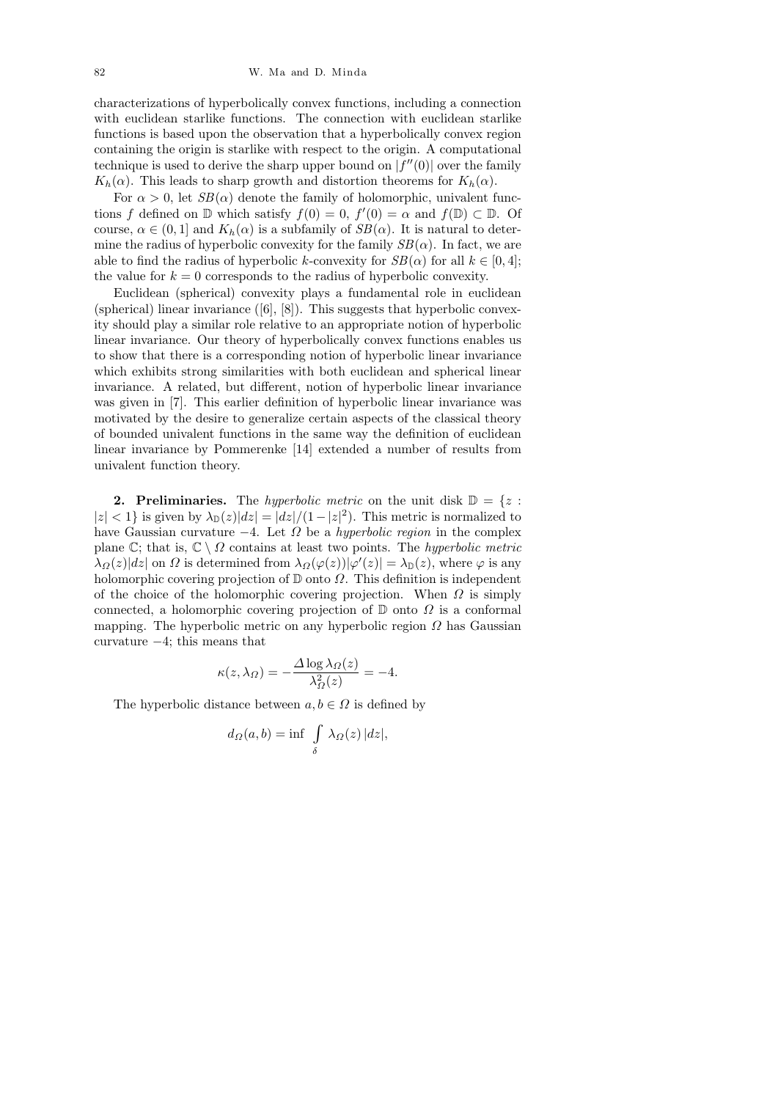characterizations of hyperbolically convex functions, including a connection with euclidean starlike functions. The connection with euclidean starlike functions is based upon the observation that a hyperbolically convex region containing the origin is starlike with respect to the origin. A computational technique is used to derive the sharp upper bound on  $|f''(0)|$  over the family  $K_h(\alpha)$ . This leads to sharp growth and distortion theorems for  $K_h(\alpha)$ .

For  $\alpha > 0$ , let  $SB(\alpha)$  denote the family of holomorphic, univalent functions f defined on  $\mathbb D$  which satisfy  $f(0) = 0$ ,  $f'(0) = \alpha$  and  $f(\mathbb D) \subset \mathbb D$ . Of course,  $\alpha \in (0,1]$  and  $K_h(\alpha)$  is a subfamily of  $SB(\alpha)$ . It is natural to determine the radius of hyperbolic convexity for the family  $SB(\alpha)$ . In fact, we are able to find the radius of hyperbolic k-convexity for  $SB(\alpha)$  for all  $k \in [0, 4]$ ; the value for  $k = 0$  corresponds to the radius of hyperbolic convexity.

Euclidean (spherical) convexity plays a fundamental role in euclidean (spherical) linear invariance  $([6], [8])$ . This suggests that hyperbolic convexity should play a similar role relative to an appropriate notion of hyperbolic linear invariance. Our theory of hyperbolically convex functions enables us to show that there is a corresponding notion of hyperbolic linear invariance which exhibits strong similarities with both euclidean and spherical linear invariance. A related, but different, notion of hyperbolic linear invariance was given in [7]. This earlier definition of hyperbolic linear invariance was motivated by the desire to generalize certain aspects of the classical theory of bounded univalent functions in the same way the definition of euclidean linear invariance by Pommerenke [14] extended a number of results from univalent function theory.

**2. Preliminaries.** The hyperbolic metric on the unit disk  $\mathbb{D} = \{z :$  $|z| < 1$ } is given by  $\lambda_{\mathbb{D}}(z)|dz| = |dz|/(1-|z|^2)$ . This metric is normalized to have Gaussian curvature  $-4$ . Let  $\Omega$  be a *hyperbolic region* in the complex plane C; that is,  $\mathbb{C} \setminus \Omega$  contains at least two points. The *hyperbolic metric*  $\lambda_{\Omega}(z)|dz|$  on  $\Omega$  is determined from  $\lambda_{\Omega}(\varphi(z))|\varphi'(z)| = \lambda_{\mathbb{D}}(z)$ , where  $\varphi$  is any holomorphic covering projection of  $\mathbb D$  onto  $\Omega$ . This definition is independent of the choice of the holomorphic covering projection. When  $\Omega$  is simply connected, a holomorphic covering projection of  $D$  onto  $\Omega$  is a conformal mapping. The hyperbolic metric on any hyperbolic region  $\Omega$  has Gaussian curvature −4; this means that

$$
\kappa(z, \lambda_{\Omega}) = -\frac{\Delta \log \lambda_{\Omega}(z)}{\lambda_{\Omega}^2(z)} = -4.
$$

The hyperbolic distance between  $a, b \in \Omega$  is defined by

$$
d_{\Omega}(a,b) = \inf \int \limits_{\delta} \lambda_{\Omega}(z) \, |dz|,
$$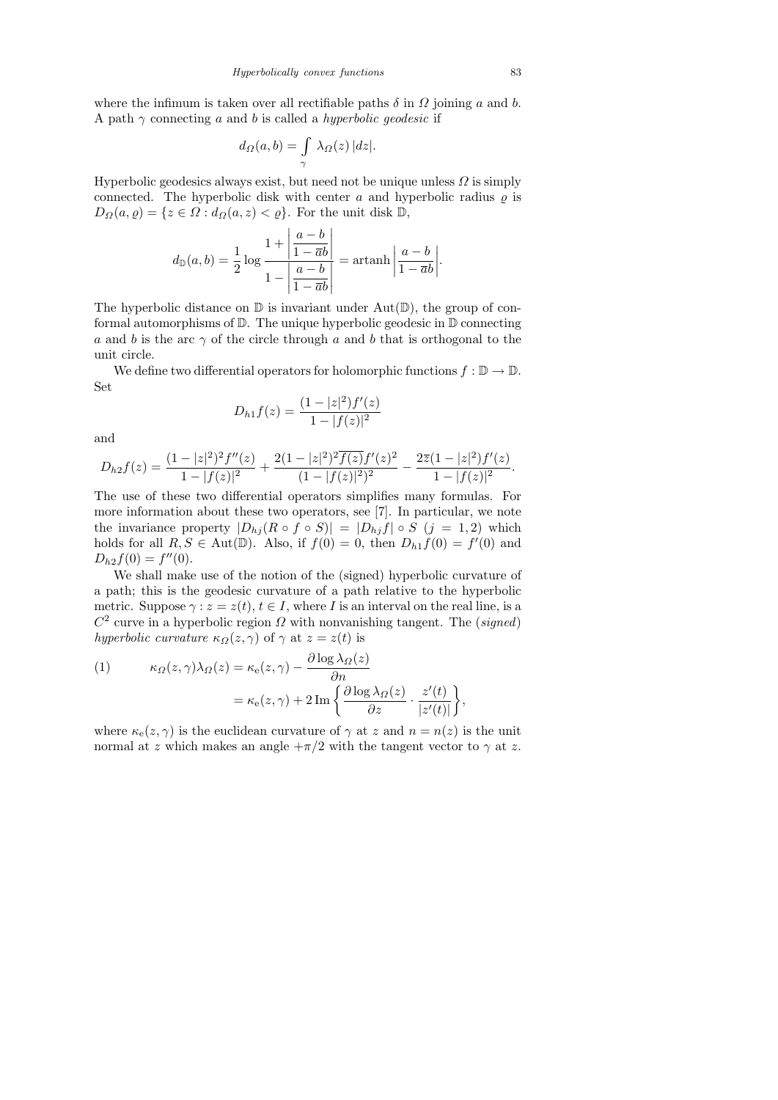where the infimum is taken over all rectifiable paths  $\delta$  in  $\Omega$  joining a and b. A path  $\gamma$  connecting a and b is called a hyperbolic geodesic if

$$
d_{\Omega}(a,b) = \int_{\gamma} \lambda_{\Omega}(z) |dz|.
$$

Hyperbolic geodesics always exist, but need not be unique unless  $\Omega$  is simply connected. The hyperbolic disk with center a and hyperbolic radius  $\rho$  is  $D_{\Omega}(a, \varrho) = \{z \in \Omega : d_{\Omega}(a, z) < \varrho\}$ . For the unit disk  $\mathbb{D}$ ,

$$
d_{\mathbb{D}}(a,b) = \frac{1}{2} \log \frac{1 + \left| \frac{a-b}{1 - \overline{a}b} \right|}{1 - \left| \frac{a-b}{1 - \overline{a}b} \right|} = \operatorname{artanh} \left| \frac{a-b}{1 - \overline{a}b} \right|.
$$

The hyperbolic distance on  $\mathbb D$  is invariant under  $Aut(\mathbb D)$ , the group of conformal automorphisms of D. The unique hyperbolic geodesic in D connecting a and b is the arc  $\gamma$  of the circle through a and b that is orthogonal to the unit circle.

We define two differential operators for holomorphic functions  $f : \mathbb{D} \to \mathbb{D}$ . Set

$$
D_{h1}f(z) = \frac{(1 - |z|^2)f'(z)}{1 - |f(z)|^2}
$$

and

$$
D_{h2}f(z) = \frac{(1-|z|^2)^2 f''(z)}{1-|f(z)|^2} + \frac{2(1-|z|^2)^2 \overline{f(z)} f'(z)^2}{(1-|f(z)|^2)^2} - \frac{2\overline{z}(1-|z|^2) f'(z)}{1-|f(z)|^2}.
$$

The use of these two differential operators simplifies many formulas. For more information about these two operators, see [7]. In particular, we note the invariance property  $|D_{h_j}(R \circ f \circ S)| = |D_{h_j}(f) \circ S$   $(j = 1, 2)$  which holds for all  $R, S \in Aut(\mathbb{D})$ . Also, if  $f(0) = 0$ , then  $D_{h1}f(0) = f'(0)$  and  $D_{h2}f(0) = f''(0).$ 

We shall make use of the notion of the (signed) hyperbolic curvature of a path; this is the geodesic curvature of a path relative to the hyperbolic metric. Suppose  $\gamma : z = z(t), t \in I$ , where I is an interval on the real line, is a  $C<sup>2</sup>$  curve in a hyperbolic region  $\Omega$  with nonvanishing tangent. The (signed) hyperbolic curvature  $\kappa_{\Omega}(z,\gamma)$  of  $\gamma$  at  $z=z(t)$  is

(1) 
$$
\kappa_{\Omega}(z,\gamma)\lambda_{\Omega}(z) = \kappa_{\rm e}(z,\gamma) - \frac{\partial \log \lambda_{\Omega}(z)}{\partial n} \n= \kappa_{\rm e}(z,\gamma) + 2\,\mathrm{Im}\left\{\frac{\partial \log \lambda_{\Omega}(z)}{\partial z} \cdot \frac{z'(t)}{|z'(t)|}\right\},
$$

where  $\kappa_e(z, \gamma)$  is the euclidean curvature of  $\gamma$  at z and  $n = n(z)$  is the unit normal at z which makes an angle  $+\pi/2$  with the tangent vector to  $\gamma$  at z.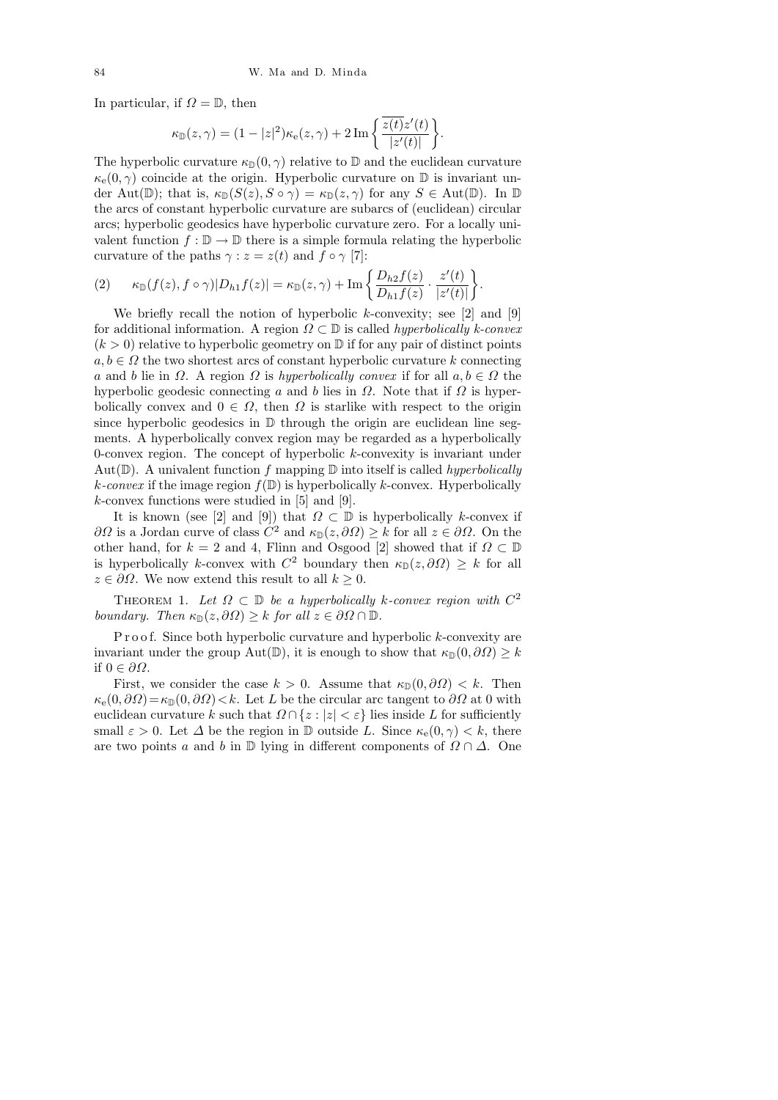In particular, if  $\Omega = \mathbb{D}$ , then

$$
\kappa_{\mathbb{D}}(z,\gamma) = (1 - |z|^2)\kappa_{\mathbf{e}}(z,\gamma) + 2\operatorname{Im}\left\{\frac{\overline{z(t)}z'(t)}{|z'(t)|}\right\}
$$

.

The hyperbolic curvature  $\kappa_D(0, \gamma)$  relative to D and the euclidean curvature  $\kappa_{\rm e}(0,\gamma)$  coincide at the origin. Hyperbolic curvature on  $\mathbb D$  is invariant under Aut(D); that is,  $\kappa_{\mathbb{D}}(S(z), S \circ \gamma) = \kappa_{\mathbb{D}}(z, \gamma)$  for any  $S \in \text{Aut}(\mathbb{D})$ . In  $\mathbb{D}$ the arcs of constant hyperbolic curvature are subarcs of (euclidean) circular arcs; hyperbolic geodesics have hyperbolic curvature zero. For a locally univalent function  $f : \mathbb{D} \to \mathbb{D}$  there is a simple formula relating the hyperbolic curvature of the paths  $\gamma : z = z(t)$  and  $f \circ \gamma$  [7]:

$$
(2) \qquad \kappa_{\mathbb{D}}(f(z), f \circ \gamma)|D_{h1}f(z)| = \kappa_{\mathbb{D}}(z, \gamma) + \operatorname{Im}\left\{\frac{D_{h2}f(z)}{D_{h1}f(z)} \cdot \frac{z'(t)}{|z'(t)|}\right\}.
$$

We briefly recall the notion of hyperbolic  $k$ -convexity; see [2] and [9] for additional information. A region  $\Omega \subset \mathbb{D}$  is called *hyperbolically k-convex*  $(k > 0)$  relative to hyperbolic geometry on  $\mathbb{D}$  if for any pair of distinct points  $a, b \in \Omega$  the two shortest arcs of constant hyperbolic curvature k connecting a and b lie in  $\Omega$ . A region  $\Omega$  is hyperbolically convex if for all  $a, b \in \Omega$  the hyperbolic geodesic connecting a and b lies in  $\Omega$ . Note that if  $\Omega$  is hyperbolically convex and  $0 \in \Omega$ , then  $\Omega$  is starlike with respect to the origin since hyperbolic geodesics in  $\mathbb D$  through the origin are euclidean line segments. A hyperbolically convex region may be regarded as a hyperbolically 0-convex region. The concept of hyperbolic  $k$ -convexity is invariant under Aut( $\mathbb{D}$ ). A univalent function f mapping  $\mathbb{D}$  into itself is called hyperbolically k-convex if the image region  $f(\mathbb{D})$  is hyperbolically k-convex. Hyperbolically  $k$ -convex functions were studied in [5] and [9].

It is known (see [2] and [9]) that  $\Omega \subset \mathbb{D}$  is hyperbolically k-convex if  $\partial\Omega$  is a Jordan curve of class  $C^2$  and  $\kappa_{\mathbb{D}}(z,\partial\Omega) \geq k$  for all  $z \in \partial\Omega$ . On the other hand, for  $k = 2$  and 4, Flinn and Osgood [2] showed that if  $\Omega \subset \mathbb{D}$ is hyperbolically k-convex with  $C^2$  boundary then  $\kappa_{\mathbb{D}}(z, \partial \Omega) \geq k$  for all  $z \in \partial \Omega$ . We now extend this result to all  $k \geq 0$ .

THEOREM 1. Let  $\Omega \subset \mathbb{D}$  be a hyperbolically k-convex region with  $C^2$ boundary. Then  $\kappa_{\mathbb{D}}(z, \partial \Omega) \geq k$  for all  $z \in \partial \Omega \cap \mathbb{D}$ .

P r o o f. Since both hyperbolic curvature and hyperbolic k-convexity are invariant under the group Aut(D), it is enough to show that  $\kappa_{\mathbb{D}}(0, \partial \Omega) \geq k$ if 0 ∈ ∂Ω.

First, we consider the case  $k > 0$ . Assume that  $\kappa_{\mathbb{D}}(0, \partial \Omega) < k$ . Then  $\kappa_e(0, \partial \Omega) = \kappa_{\mathbb{D}}(0, \partial \Omega) < k$ . Let L be the circular arc tangent to  $\partial \Omega$  at 0 with euclidean curvature k such that  $\Omega \cap \{z : |z| < \varepsilon\}$  lies inside L for sufficiently small  $\varepsilon > 0$ . Let  $\Delta$  be the region in  $\mathbb D$  outside L. Since  $\kappa_e(0, \gamma) < k$ , there are two points a and b in  $\mathbb D$  lying in different components of  $\Omega \cap \Delta$ . One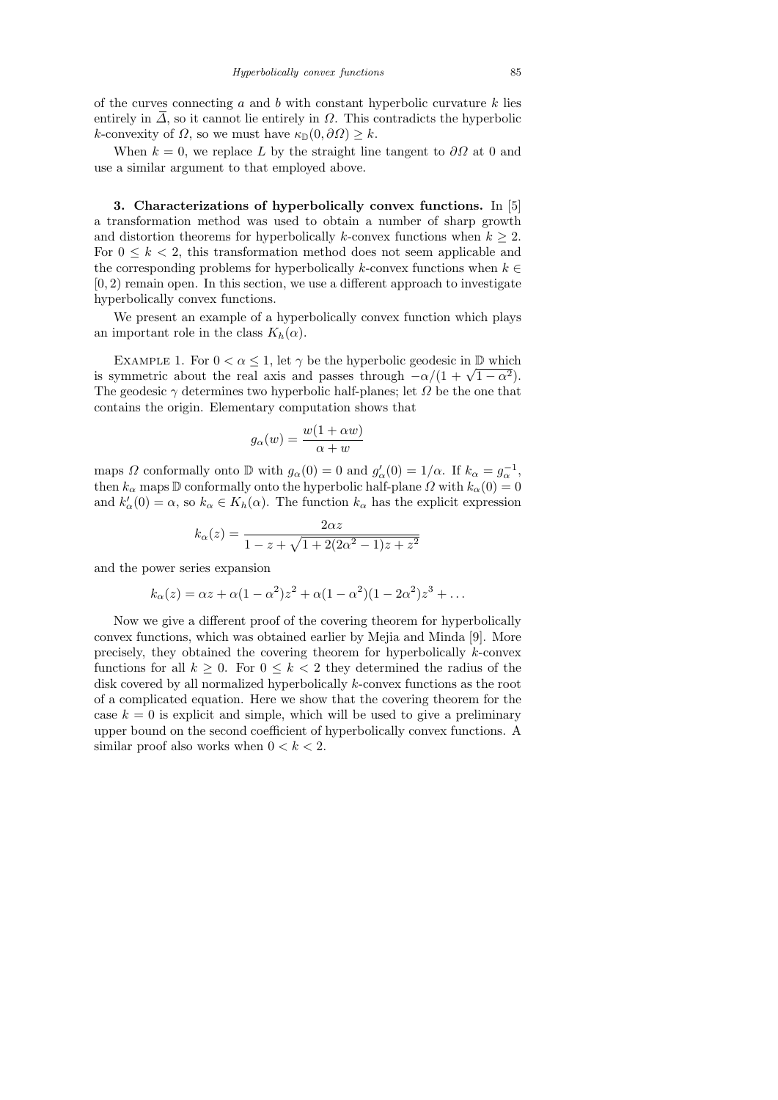of the curves connecting a and b with constant hyperbolic curvature  $k$  lies entirely in  $\overline{\Delta}$ , so it cannot lie entirely in  $\Omega$ . This contradicts the hyperbolic k-convexity of  $\Omega$ , so we must have  $\kappa_{\mathbb{D}}(0, \partial \Omega) \geq k$ .

When  $k = 0$ , we replace L by the straight line tangent to  $\partial\Omega$  at 0 and use a similar argument to that employed above.

3. Characterizations of hyperbolically convex functions. In [5] a transformation method was used to obtain a number of sharp growth and distortion theorems for hyperbolically k-convex functions when  $k \geq 2$ . For  $0 \leq k \leq 2$ , this transformation method does not seem applicable and the corresponding problems for hyperbolically k-convex functions when  $k \in$  $[0, 2)$  remain open. In this section, we use a different approach to investigate hyperbolically convex functions.

We present an example of a hyperbolically convex function which plays an important role in the class  $K_h(\alpha)$ .

EXAMPLE 1. For  $0 < \alpha \leq 1$ , let  $\gamma$  be the hyperbolic geodesic in  $\mathbb D$  which EXAMPLE 1. For  $0 < \alpha \leq 1$ , let  $\gamma$  be the hyperbolic geodesic in  $\psi$  which<br>is symmetric about the real axis and passes through  $-\alpha/(1 + \sqrt{1 - \alpha^2})$ . The geodesic  $\gamma$  determines two hyperbolic half-planes; let  $\Omega$  be the one that contains the origin. Elementary computation shows that

$$
g_{\alpha}(w) = \frac{w(1 + \alpha w)}{\alpha + w}
$$

maps  $\Omega$  conformally onto  $\mathbb D$  with  $g_{\alpha}(0) = 0$  and  $g'_{\alpha}(0) = 1/\alpha$ . If  $k_{\alpha} = g_{\alpha}^{-1}$ , then  $k_{\alpha}$  maps D conformally onto the hyperbolic half-plane  $\Omega$  with  $k_{\alpha}(0) = 0$ and  $k'_{\alpha}(0) = \alpha$ , so  $k_{\alpha} \in K_h(\alpha)$ . The function  $k_{\alpha}$  has the explicit expression

$$
k_{\alpha}(z) = \frac{2\alpha z}{1 - z + \sqrt{1 + 2(2\alpha^2 - 1)z + z^2}}
$$

and the power series expansion

$$
k_{\alpha}(z) = \alpha z + \alpha (1 - \alpha^2) z^2 + \alpha (1 - \alpha^2) (1 - 2\alpha^2) z^3 + \dots
$$

Now we give a different proof of the covering theorem for hyperbolically convex functions, which was obtained earlier by Mejia and Minda [9]. More precisely, they obtained the covering theorem for hyperbolically k-convex functions for all  $k \geq 0$ . For  $0 \leq k < 2$  they determined the radius of the disk covered by all normalized hyperbolically k-convex functions as the root of a complicated equation. Here we show that the covering theorem for the case  $k = 0$  is explicit and simple, which will be used to give a preliminary upper bound on the second coefficient of hyperbolically convex functions. A similar proof also works when  $0 < k < 2$ .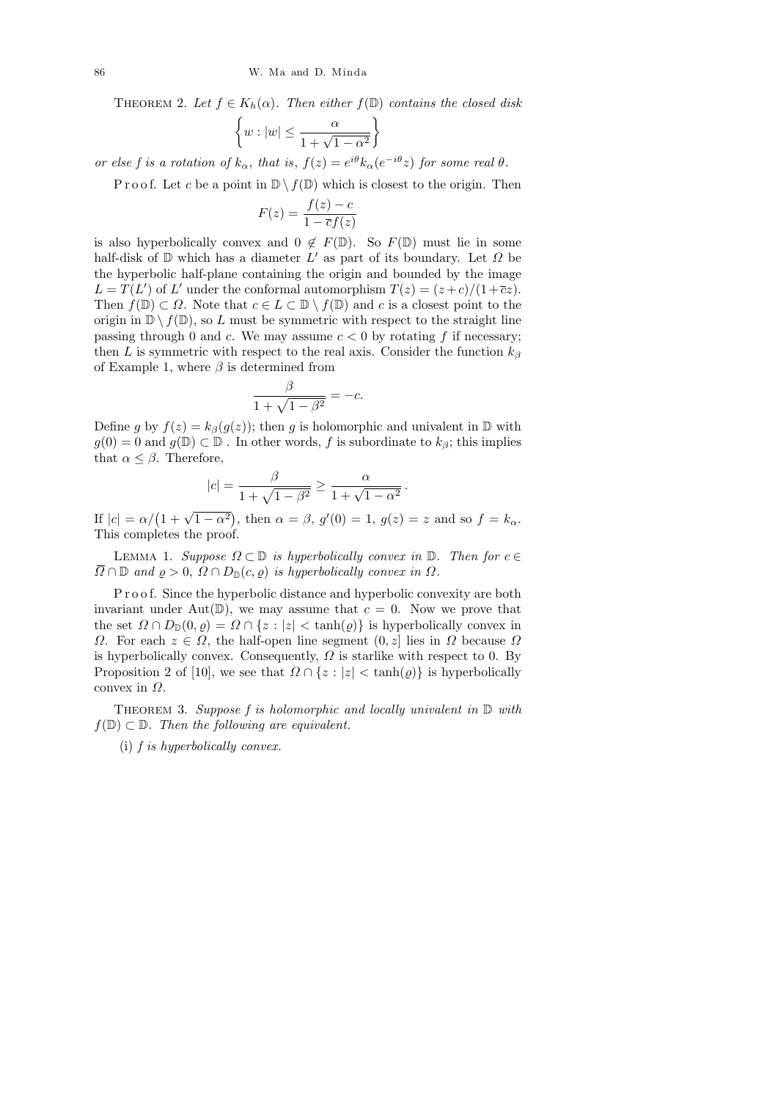THEOREM 2. Let  $f \in K_h(\alpha)$ . Then either  $f(\mathbb{D})$  contains the closed disk

$$
\left\{w:|w|\leq \frac{\alpha}{1+\sqrt{1-\alpha^2}}\right\}
$$

or else f is a rotation of  $k_{\alpha}$ , that is,  $f(z) = e^{i\theta} k_{\alpha} (e^{-i\theta} z)$  for some real  $\theta$ .

P r o o f. Let c be a point in  $\mathbb{D} \setminus f(\mathbb{D})$  which is closest to the origin. Then

$$
F(z) = \frac{f(z) - c}{1 - \overline{c}f(z)}
$$

is also hyperbolically convex and  $0 \notin F(\mathbb{D})$ . So  $F(\mathbb{D})$  must lie in some half-disk of  $D$  which has a diameter  $L'$  as part of its boundary. Let  $\Omega$  be the hyperbolic half-plane containing the origin and bounded by the image  $L = T(L')$  of L' under the conformal automorphism  $T(z) = (z+c)/(1+\overline{c}z)$ . Then  $f(\mathbb{D}) \subset \Omega$ . Note that  $c \in L \subset \mathbb{D} \setminus f(\mathbb{D})$  and c is a closest point to the origin in  $\mathbb{D} \setminus f(\mathbb{D})$ , so L must be symmetric with respect to the straight line passing through 0 and c. We may assume  $c < 0$  by rotating f if necessary; then L is symmetric with respect to the real axis. Consider the function  $k_{\beta}$ of Example 1, where  $\beta$  is determined from

$$
\frac{\beta}{1 + \sqrt{1 - \beta^2}} = -c.
$$

Define g by  $f(z) = k_{\beta}(g(z))$ ; then g is holomorphic and univalent in D with  $g(0) = 0$  and  $g(\mathbb{D}) \subset \mathbb{D}$ . In other words, f is subordinate to  $k_{\beta}$ ; this implies that  $\alpha \leq \beta$ . Therefore,

$$
|c| = \frac{\beta}{1 + \sqrt{1 - \beta^2}} \ge \frac{\alpha}{1 + \sqrt{1 - \alpha^2}}.
$$

If  $|c| = \alpha/(1 + \sqrt{1 - \alpha^2})$ , then  $\alpha = \beta$ ,  $g'(0) = 1$ ,  $g(z) = z$  and so  $f = k_{\alpha}$ . This completes the proof.

LEMMA 1. Suppose  $\Omega \subset \mathbb{D}$  is hyperbolically convex in  $\mathbb{D}$ . Then for  $c \in$  $\overline{\Omega} \cap \mathbb{D}$  and  $\rho > 0$ ,  $\Omega \cap D_{\mathbb{D}}(c, \rho)$  is hyperbolically convex in  $\Omega$ .

P r o o f. Since the hyperbolic distance and hyperbolic convexity are both invariant under Aut $(\mathbb{D})$ , we may assume that  $c = 0$ . Now we prove that the set  $\Omega \cap D_{\mathbb{D}}(0, \varrho) = \Omega \cap \{z : |z| < \tanh(\varrho)\}\$ is hyperbolically convex in  $\Omega$ . For each  $z \in \Omega$ , the half-open line segment  $(0, z]$  lies in  $\Omega$  because  $\Omega$ is hyperbolically convex. Consequently,  $\Omega$  is starlike with respect to 0. By Proposition 2 of [10], we see that  $\Omega \cap \{z : |z| < \tanh(\varrho)\}$  is hyperbolically convex in  $\Omega$ .

THEOREM 3. Suppose f is holomorphic and locally univalent in  $D$  with  $f(\mathbb{D}) \subset \mathbb{D}$ . Then the following are equivalent.

(i) f is hyperbolically convex.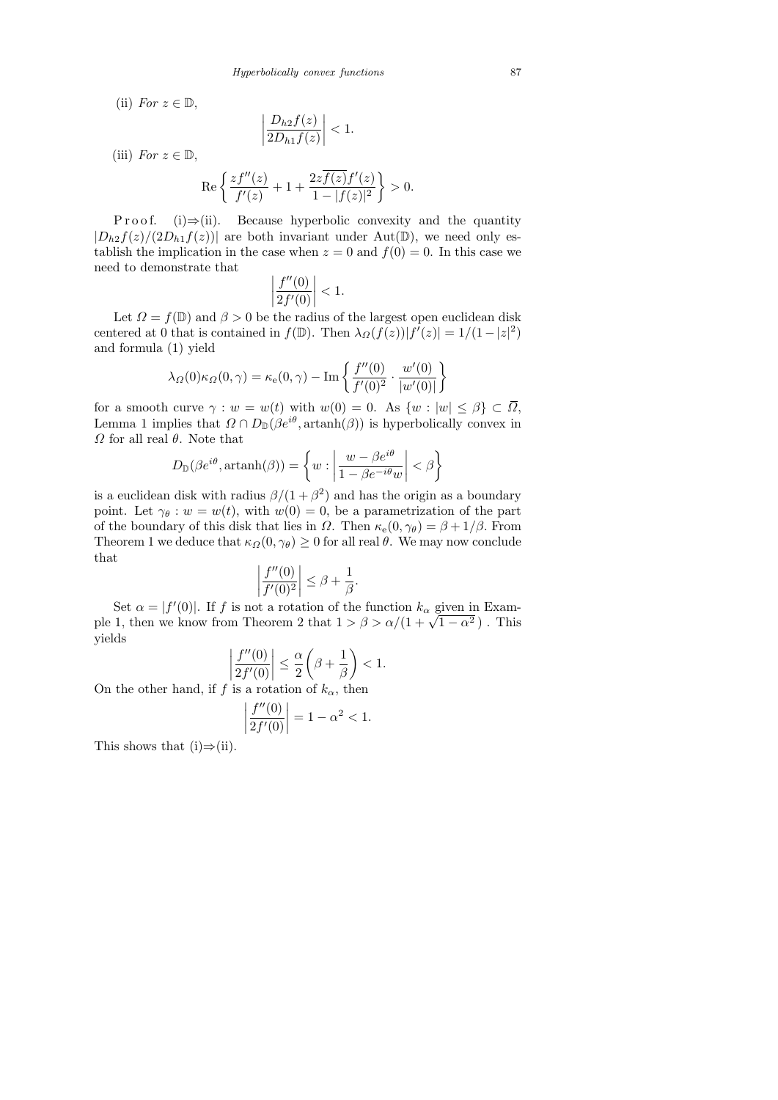(ii) For  $z \in \mathbb{D}$ ,

$$
\left|\frac{D_{h2}f(z)}{2D_{h1}f(z)}\right| < 1.
$$
\n(iii) For  $z \in \mathbb{D}$ ,

\n
$$
\operatorname{Re}\left\{\frac{zf''(z)}{f'(z)} + 1 + \frac{2z\overline{f(z)}f'(z)}{1 - |f(z)|^2}\right\} > 0.
$$

P r o o f. (i)  $\Rightarrow$  (ii). Because hyperbolic convexity and the quantity  $|D_{h2}f(z)/(2D_{h1}f(z))|$  are both invariant under Aut(D), we need only establish the implication in the case when  $z = 0$  and  $f(0) = 0$ . In this case we need to demonstrate that

$$
\left|\frac{f''(0)}{2f'(0)}\right| < 1.
$$

Let  $\Omega = f(\mathbb{D})$  and  $\beta > 0$  be the radius of the largest open euclidean disk centered at 0 that is contained in  $f(\mathbb{D})$ . Then  $\lambda_{\Omega}(f(z))|f'(z)| = 1/(1-|z|^2)$ and formula (1) yield

$$
\lambda_{\Omega}(0)\kappa_{\Omega}(0,\gamma) = \kappa_{\rm e}(0,\gamma) - \mathrm{Im}\left\{\frac{f''(0)}{f'(0)^2} \cdot \frac{w'(0)}{|w'(0)|}\right\}
$$

for a smooth curve  $\gamma : w = w(t)$  with  $w(0) = 0$ . As  $\{w : |w| \leq \beta\} \subset \overline{\Omega}$ , Lemma 1 implies that  $\Omega \cap D_{\mathbb{D}}(\beta e^{i\theta}, \text{artanh}(\beta))$  is hyperbolically convex in  $Ω$  for all real  $θ$ . Note that

$$
D_{\mathbb{D}}(\beta e^{i\theta}, \operatorname{artanh}(\beta)) = \left\{ w : \left| \frac{w - \beta e^{i\theta}}{1 - \beta e^{-i\theta} w} \right| < \beta \right\}
$$

is a euclidean disk with radius  $\beta/(1+\beta^2)$  and has the origin as a boundary point. Let  $\gamma_{\theta} : w = w(t)$ , with  $w(0) = 0$ , be a parametrization of the part of the boundary of this disk that lies in  $\Omega$ . Then  $\kappa_e(0, \gamma_\theta) = \beta + 1/\beta$ . From Theorem 1 we deduce that  $\kappa_{\Omega}(0, \gamma_{\theta}) \geq 0$  for all real  $\theta$ . We may now conclude that

$$
\left|\frac{f''(0)}{f'(0)^2}\right| \leq \beta + \frac{1}{\beta}.
$$

Set  $\alpha = |f'(0)|$ . If f is not a rotation of the function  $k_{\alpha}$  given in Exambet  $\alpha = |f'(0)|$ . If f is not a rotation of the function  $\kappa_{\alpha}$  given in Example 1, then we know from Theorem 2 that  $1 > \beta > \alpha/(1 + \sqrt{1 - \alpha^2})$ . This yields

$$
\left|\frac{f''(0)}{2f'(0)}\right| \le \frac{\alpha}{2}\left(\beta + \frac{1}{\beta}\right) < 1.
$$

On the other hand, if f is a rotation of  $k_{\alpha}$ , then

$$
\left| \frac{f''(0)}{2f'(0)} \right| = 1 - \alpha^2 < 1.
$$

This shows that  $(i) \Rightarrow (ii)$ .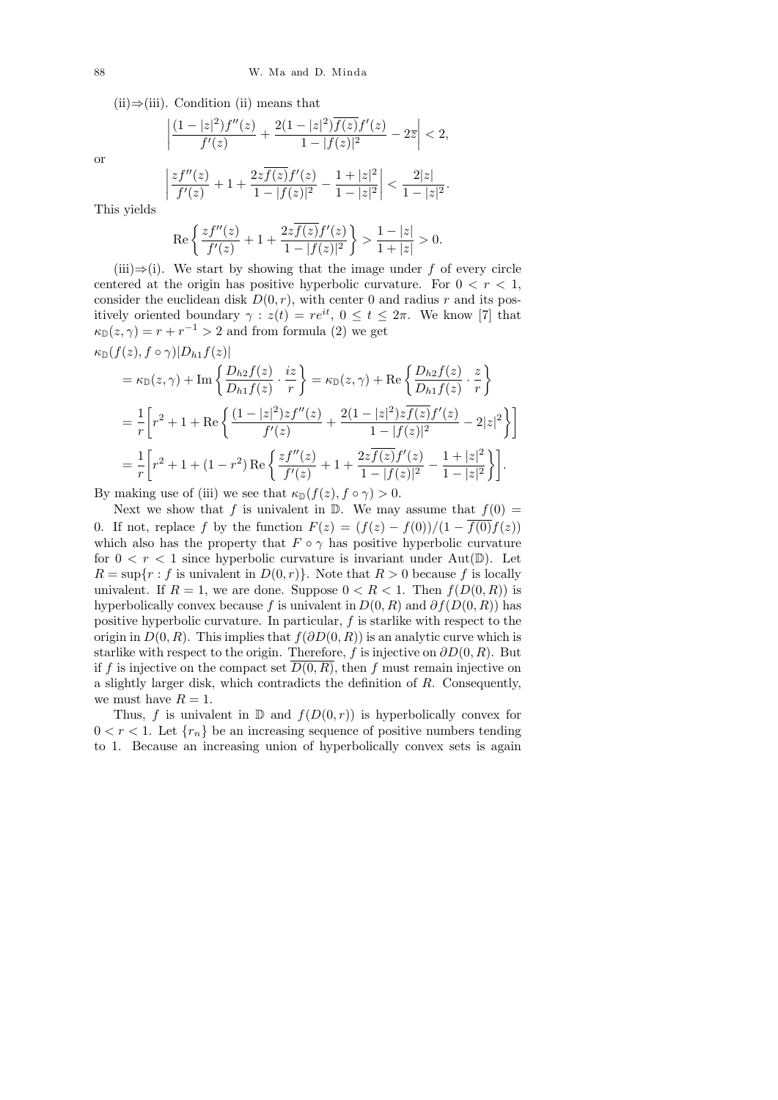$(ii) \Rightarrow (iii)$ . Condition (ii) means that

 $\overline{\phantom{a}}$ I  $\overline{\phantom{a}}$  $\mid$ 

$$
\frac{(1-|z|^2)f''(z)}{f'(z)} + \frac{2(1-|z|^2)\overline{f(z)}f'(z)}{1-|f(z)|^2} - 2\overline{z} < 2,
$$

or

$$
\left|\frac{zf''(z)}{f'(z)}+1+\frac{2z\overline{f(z)}f'(z)}{1-|f(z)|^2}-\frac{1+|z|^2}{1-|z|^2}\right|<\frac{2|z|}{1-|z|^2}.
$$

This yields

$$
\operatorname{Re}\left\{\frac{zf''(z)}{f'(z)}+1+\frac{2z\overline{f(z)}f'(z)}{1-|f(z)|^2}\right\} > \frac{1-|z|}{1+|z|} > 0.
$$

(iii) $\Rightarrow$ (i). We start by showing that the image under f of every circle centered at the origin has positive hyperbolic curvature. For  $0 < r < 1$ , consider the euclidean disk  $D(0, r)$ , with center 0 and radius r and its positively oriented boundary  $\gamma : z(t) = re^{it}$ ,  $0 \le t \le 2\pi$ . We know [7] that  $\kappa_{\mathbb{D}}(z,\gamma) = r + r^{-1} > 2$  and from formula (2) we get

$$
\kappa_{\mathbb{D}}(f(z), f \circ \gamma)|D_{h1}f(z)|
$$
\n
$$
= \kappa_{\mathbb{D}}(z, \gamma) + \text{Im}\left\{\frac{D_{h2}f(z)}{D_{h1}f(z)} \cdot \frac{iz}{r}\right\} = \kappa_{\mathbb{D}}(z, \gamma) + \text{Re}\left\{\frac{D_{h2}f(z)}{D_{h1}f(z)} \cdot \frac{z}{r}\right\}
$$
\n
$$
= \frac{1}{r}\left[r^2 + 1 + \text{Re}\left\{\frac{(1-|z|^2)zf''(z)}{f'(z)} + \frac{2(1-|z|^2)z\overline{f(z)}f'(z)}{1-|f(z)|^2} - 2|z|^2\right\}\right]
$$
\n
$$
= \frac{1}{r}\left[r^2 + 1 + (1-r^2)\text{Re}\left\{\frac{zf''(z)}{f'(z)} + 1 + \frac{2z\overline{f(z)}f'(z)}{1-|f(z)|^2} - \frac{1+|z|^2}{1-|z|^2}\right\}\right].
$$

By making use of (iii) we see that  $\kappa_{\mathbb{D}}(f(z), f \circ \gamma) > 0$ .

Next we show that f is univalent in  $\mathbb{D}$ . We may assume that  $f(0) =$ 0. If not, replace f by the function  $F(z) = (f(z) - f(0))/(1 - \overline{f(0)}f(z))$ which also has the property that  $F \circ \gamma$  has positive hyperbolic curvature for  $0 < r < 1$  since hyperbolic curvature is invariant under Aut $(\mathbb{D})$ . Let  $R = \sup\{r : f \text{ is univalent in } D(0,r)\}.$  Note that  $R > 0$  because f is locally univalent. If  $R = 1$ , we are done. Suppose  $0 < R < 1$ . Then  $f(D(0,R))$  is hyperbolically convex because f is univalent in  $D(0, R)$  and  $\partial f(D(0, R))$  has positive hyperbolic curvature. In particular,  $f$  is starlike with respect to the origin in  $D(0, R)$ . This implies that  $f(\partial D(0, R))$  is an analytic curve which is starlike with respect to the origin. Therefore, f is injective on  $\partial D(0, R)$ . But if f is injective on the compact set  $D(0, R)$ , then f must remain injective on a slightly larger disk, which contradicts the definition of R. Consequently, we must have  $R = 1$ .

Thus, f is univalent in  $\mathbb D$  and  $f(D(0,r))$  is hyperbolically convex for  $0 < r < 1$ . Let  $\{r_n\}$  be an increasing sequence of positive numbers tending to 1. Because an increasing union of hyperbolically convex sets is again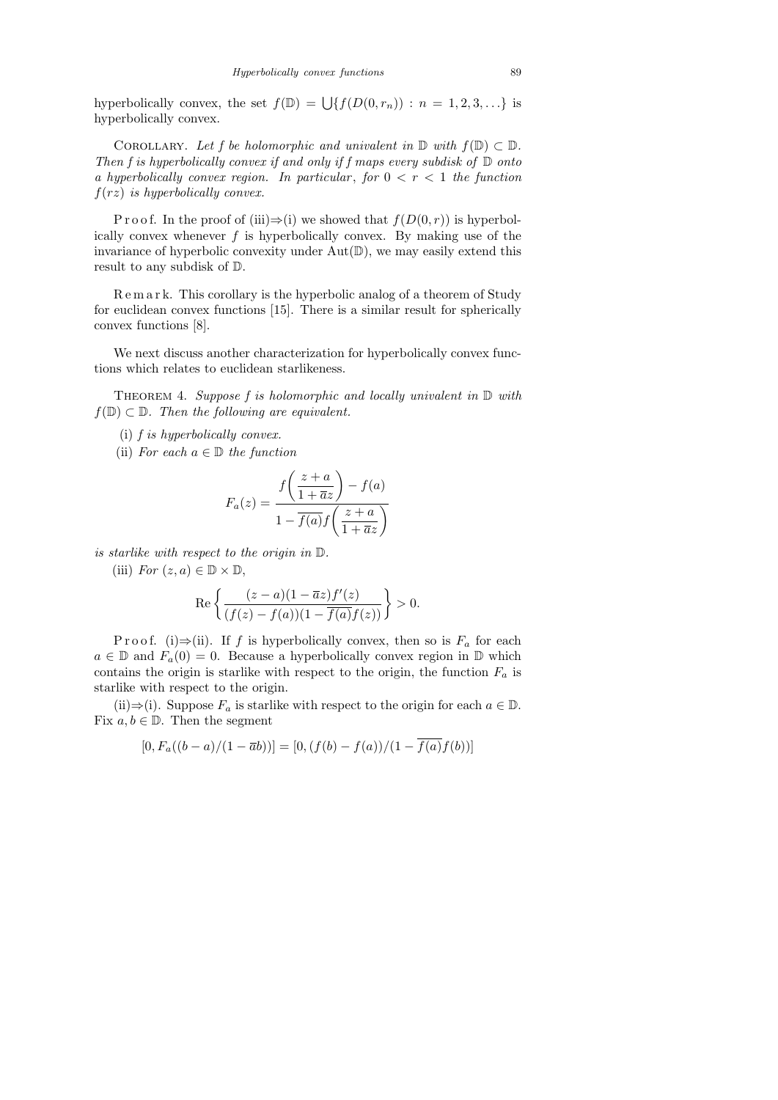hyperbolically convex, the set  $f(\mathbb{D}) = \bigcup \{f(D(0, r_n)) : n = 1, 2, 3, \ldots\}$  is hyperbolically convex.

COROLLARY. Let f be holomorphic and univalent in  $\mathbb D$  with  $f(\mathbb D) \subset \mathbb D$ . Then f is hyperbolically convex if and only if f maps every subdisk of  $D$  onto a hyperbolically convex region. In particular, for  $0 < r < 1$  the function  $f(rz)$  is hyperbolically convex.

P r o o f. In the proof of (iii) $\Rightarrow$ (i) we showed that  $f(D(0, r))$  is hyperbolically convex whenever  $f$  is hyperbolically convex. By making use of the invariance of hyperbolic convexity under  $Aut(\mathbb{D})$ , we may easily extend this result to any subdisk of D.

R e m a r k. This corollary is the hyperbolic analog of a theorem of Study for euclidean convex functions [15]. There is a similar result for spherically convex functions [8].

We next discuss another characterization for hyperbolically convex functions which relates to euclidean starlikeness.

THEOREM 4. Suppose  $f$  is holomorphic and locally univalent in  $D$  with  $f(\mathbb{D}) \subset \mathbb{D}$ . Then the following are equivalent.

- (i) f is hyperbolically convex.
- (ii) For each  $a \in \mathbb{D}$  the function

$$
F_a(z) = \frac{f\left(\frac{z+a}{1+\overline{a}z}\right) - f(a)}{1 - \overline{f(a)}f\left(\frac{z+a}{1+\overline{a}z}\right)}
$$

is starlike with respect to the origin in D.

(iii) For  $(z, a) \in \mathbb{D} \times \mathbb{D}$ ,

$$
\operatorname{Re}\left\{\frac{(z-a)(1-\overline{a}z)f'(z)}{(f(z)-f(a))(1-\overline{f(a)}f(z))}\right\}>0.
$$

P r o o f. (i)  $\Rightarrow$  (ii). If f is hyperbolically convex, then so is  $F_a$  for each  $a \in \mathbb{D}$  and  $F_a(0) = 0$ . Because a hyperbolically convex region in  $\mathbb{D}$  which contains the origin is starlike with respect to the origin, the function  $F_a$  is starlike with respect to the origin.

(ii)⇒(i). Suppose  $F_a$  is starlike with respect to the origin for each  $a \in \mathbb{D}$ . Fix  $a, b \in \mathbb{D}$ . Then the segment

$$
[0, F_a((b-a)/(1-\overline{a}b))] = [0, (f(b) - f(a))/(1 - f(a)f(b))]
$$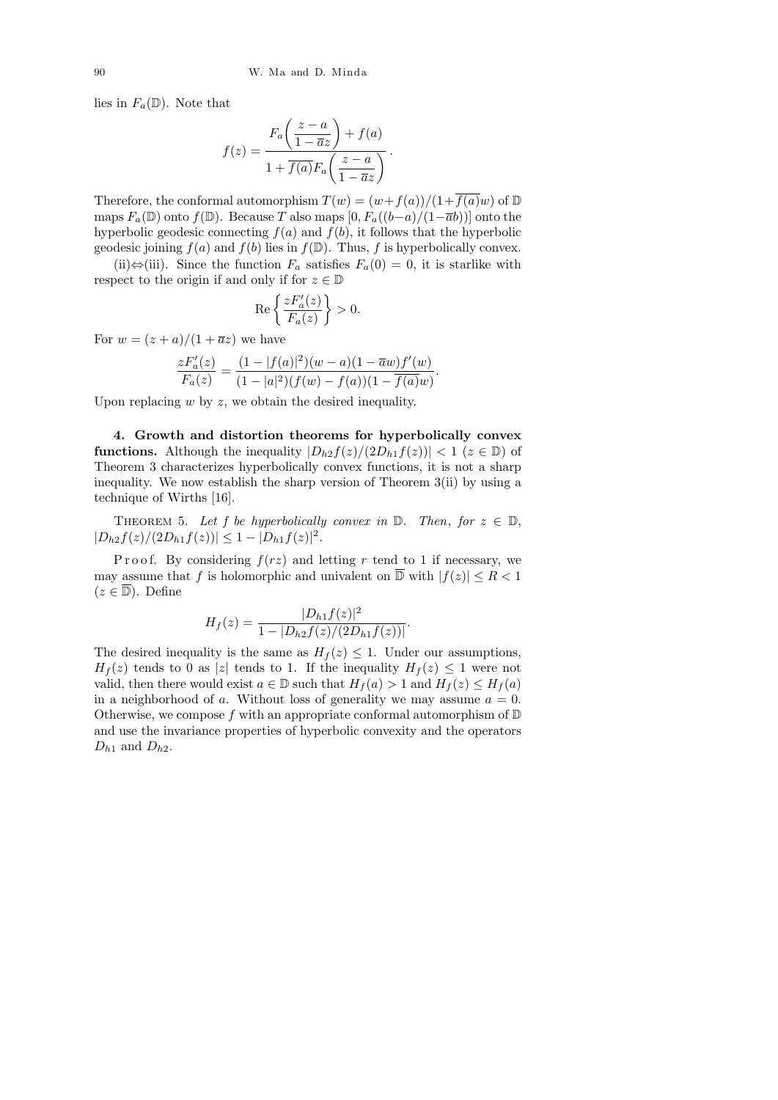lies in  $F_a(\mathbb{D})$ . Note that

$$
f(z) = \frac{F_a\left(\frac{z-a}{1-\overline{a}z}\right) + f(a)}{1 + \overline{f(a)}F_a\left(\frac{z-a}{1-\overline{a}z}\right)}.
$$

Therefore, the conformal automorphism  $T(w) = (w + f(a))/(1 + \overline{f(a)}w)$  of  $\mathbb D$ maps  $F_a(\mathbb{D})$  onto  $f(\mathbb{D})$ . Because T also maps  $[0, F_a((b-a)/(1-\overline{a}b))]$  onto the hyperbolic geodesic connecting  $f(a)$  and  $f(b)$ , it follows that the hyperbolic geodesic joining  $f(a)$  and  $f(b)$  lies in  $f(\mathbb{D})$ . Thus, f is hyperbolically convex.

(ii)⇔(iii). Since the function  $F_a$  satisfies  $F_a(0) = 0$ , it is starlike with respect to the origin if and only if for  $z \in \mathbb{D}$ 

$$
\operatorname{Re}\left\{\frac{zF_a'(z)}{F_a(z)}\right\} > 0.
$$

For  $w = (z + a)/(1 + \overline{a}z)$  we have

$$
\frac{zF_a'(z)}{F_a(z)} = \frac{(1-|f(a)|^2)(w-a)(1-\overline{a}w)f'(w)}{(1-|a|^2)(f(w)-f(a))(1-\overline{f(a)}w)}
$$

.

Upon replacing  $w$  by  $z$ , we obtain the desired inequality.

4. Growth and distortion theorems for hyperbolically convex **functions.** Although the inequality  $|D_{h2}f(z)/(2D_{h1}f(z))| < 1$  ( $z \in \mathbb{D}$ ) of Theorem 3 characterizes hyperbolically convex functions, it is not a sharp inequality. We now establish the sharp version of Theorem 3(ii) by using a technique of Wirths [16].

THEOREM 5. Let f be hyperbolically convex in  $\mathbb{D}$ . Then, for  $z \in \mathbb{D}$ ,  $|D_{h2}f(z)/(2D_{h1}f(z))| \leq 1 - |D_{h1}f(z)|^2$ .

P r o o f. By considering  $f(rz)$  and letting r tend to 1 if necessary, we may assume that f is holomorphic and univalent on  $\overline{D}$  with  $|f(z)| \leq R < 1$  $(z \in \overline{\mathbb{D}})$ . Define

$$
H_f(z) = \frac{|D_{h1}f(z)|^2}{1 - |D_{h2}f(z)/(2D_{h1}f(z))|}.
$$

The desired inequality is the same as  $H_f(z) \leq 1$ . Under our assumptions,  $H_f(z)$  tends to 0 as |z| tends to 1. If the inequality  $H_f(z) \leq 1$  were not valid, then there would exist  $a \in \mathbb{D}$  such that  $H_f(a) > 1$  and  $H_f(z) \leq H_f(a)$ in a neighborhood of a. Without loss of generality we may assume  $a = 0$ . Otherwise, we compose f with an appropriate conformal automorphism of  $D$ and use the invariance properties of hyperbolic convexity and the operators  $D_{h1}$  and  $D_{h2}$ .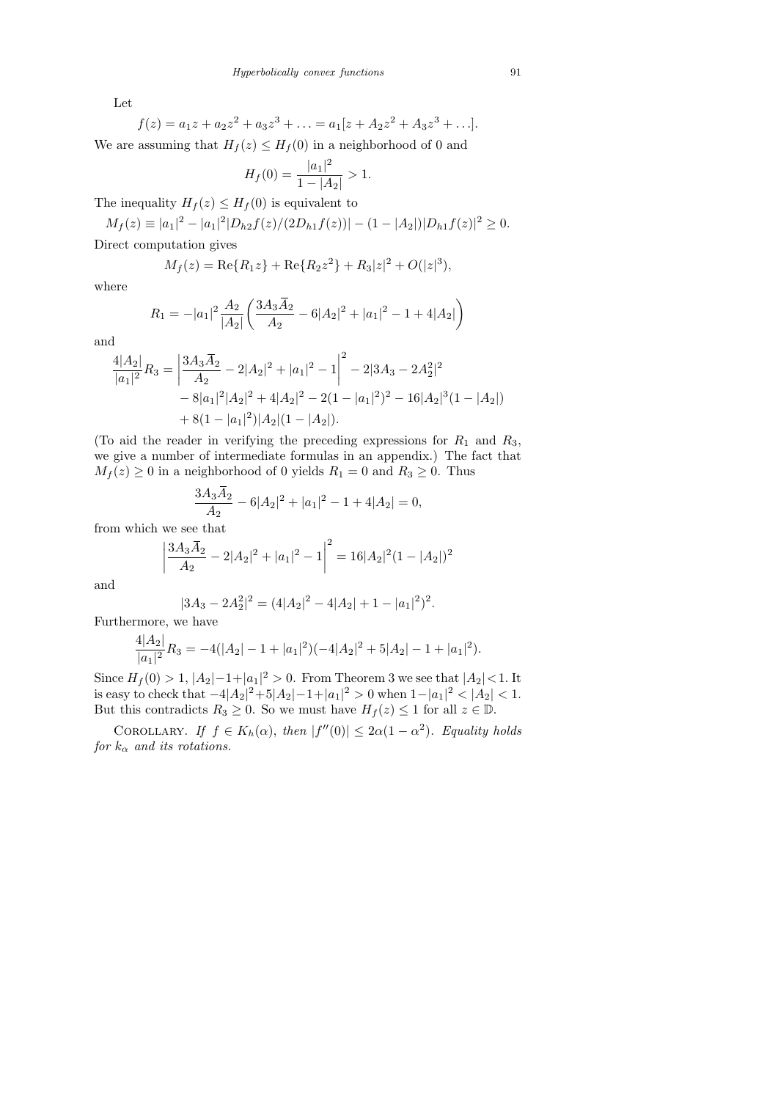Let

$$
f(z) = a_1 z + a_2 z^2 + a_3 z^3 + \dots = a_1 [z + A_2 z^2 + A_3 z^3 + \dots].
$$
  
We are assuming that  $H_f(z) \le H_f(0)$  in a neighborhood of 0 and

$$
H_f(0) = \frac{|a_1|^2}{1 - |A_2|} > 1.
$$

The inequality  $H_f(z) \leq H_f(0)$  is equivalent to

 $M_f(z) \equiv |a_1|^2 - |a_1|^2 |D_{h2}f(z)/(2D_{h1}f(z))| - (1 - |A_2|)|D_{h1}f(z)|^2 \geq 0.$ 

Direct computation gives

$$
M_f(z) = \text{Re}\{R_1 z\} + \text{Re}\{R_2 z^2\} + R_3 |z|^2 + O(|z|^3),
$$

where

$$
R_1 = -|a_1|^2 \frac{A_2}{|A_2|} \left( \frac{3A_3 \overline{A}_2}{A_2} - 6|A_2|^2 + |a_1|^2 - 1 + 4|A_2| \right)
$$

and

$$
\frac{4|A_2|}{|a_1|^2}R_3 = \left|\frac{3A_3\overline{A}_2}{A_2} - 2|A_2|^2 + |a_1|^2 - 1\right|^2 - 2|3A_3 - 2A_2^2|^2
$$
  
- 8|a\_1|^2|A\_2|^2 + 4|A\_2|^2 - 2(1 - |a\_1|^2)^2 - 16|A\_2|^3(1 - |A\_2|)  
+ 8(1 - |a\_1|^2)|A\_2|(1 - |A\_2|).

(To aid the reader in verifying the preceding expressions for  $R_1$  and  $R_3$ , we give a number of intermediate formulas in an appendix.) The fact that  $M_f(z) \geq 0$  in a neighborhood of 0 yields  $R_1 = 0$  and  $R_3 \geq 0$ . Thus

$$
\frac{3A_3\overline{A}_2}{A_2} - 6|A_2|^2 + |a_1|^2 - 1 + 4|A_2| = 0,
$$

from which we see that

$$
\left|\frac{3A_3\overline{A}_2}{A_2} - 2|A_2|^2 + |a_1|^2 - 1\right|^2 = 16|A_2|^2(1 - |A_2|)^2
$$

and

$$
|3A_3 - 2A_2^2|^2 = (4|A_2|^2 - 4|A_2| + 1 - |a_1|^2)^2.
$$

Furthermore, we have

$$
\frac{4|A_2|}{|a_1|^2}R_3 = -4(|A_2| - 1 + |a_1|^2)(-4|A_2|^2 + 5|A_2| - 1 + |a_1|^2).
$$

Since  $H_f(0) > 1, |A_2| - 1 + |a_1|^2 > 0$ . From Theorem 3 we see that  $|A_2| < 1$ . It is easy to check that  $-4|A_2|^2+5|A_2|-1+|a_1|^2>0$  when  $1-|a_1|^2<|A_2|<1$ . But this contradicts  $R_3 \geq 0$ . So we must have  $H_f(z) \leq 1$  for all  $z \in \mathbb{D}$ .

COROLLARY. If  $f \in K_h(\alpha)$ , then  $|f''(0)| \leq 2\alpha(1-\alpha^2)$ . Equality holds for  $k_{\alpha}$  and its rotations.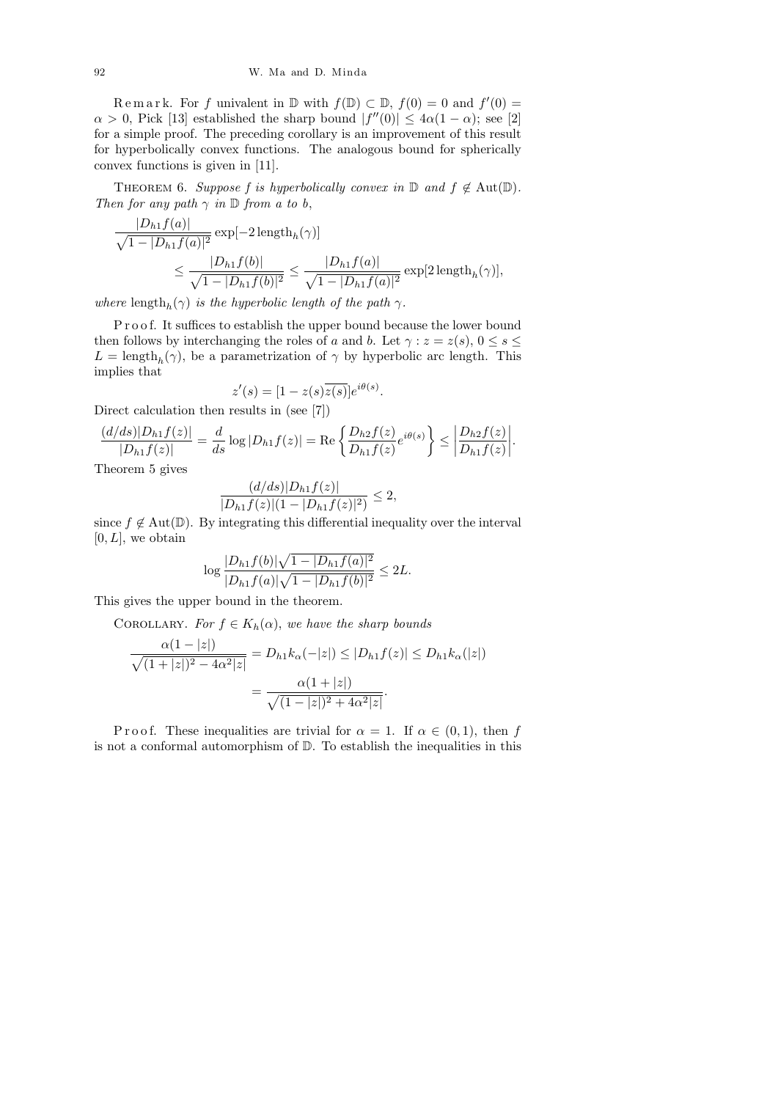Remark. For f univalent in  $\mathbb D$  with  $f(\mathbb D) \subset \mathbb D$ ,  $f(0) = 0$  and  $f'(0) =$  $\alpha > 0$ , Pick [13] established the sharp bound  $|f''(0)| \leq 4\alpha(1-\alpha)$ ; see [2] for a simple proof. The preceding corollary is an improvement of this result for hyperbolically convex functions. The analogous bound for spherically convex functions is given in [11].

THEOREM 6. Suppose f is hyperbolically convex in  $\mathbb D$  and  $f \notin \text{Aut}(\mathbb D)$ . Then for any path  $\gamma$  in  $\mathbb D$  from a to b,

$$
\frac{|D_{h1}f(a)|}{\sqrt{1-|D_{h1}f(a)|^2}} \exp[-2\operatorname{length}_h(\gamma)]
$$
  

$$
\leq \frac{|D_{h1}f(b)|}{\sqrt{1-|D_{h1}f(b)|^2}} \leq \frac{|D_{h1}f(a)|}{\sqrt{1-|D_{h1}f(a)|^2}} \exp[2\operatorname{length}_h(\gamma)],
$$

where length<sub>h</sub>( $\gamma$ ) is the hyperbolic length of the path  $\gamma$ .

Proof. It suffices to establish the upper bound because the lower bound then follows by interchanging the roles of a and b. Let  $\gamma : z = z(s), 0 \le s \le$  $L = \text{length}_h(\gamma)$ , be a parametrization of  $\gamma$  by hyperbolic arc length. This implies that

$$
z'(s) = [1 - z(s)\overline{z(s)}]e^{i\theta(s)}.
$$

Direct calculation then results in (see [7])

$$
\frac{(d/ds)|D_{h1}f(z)|}{|D_{h1}f(z)|} = \frac{d}{ds}\log|D_{h1}f(z)| = \text{Re}\left\{\frac{D_{h2}f(z)}{D_{h1}f(z)}e^{i\theta(s)}\right\} \le \left|\frac{D_{h2}f(z)}{D_{h1}f(z)}\right|.
$$

Theorem 5 gives

$$
\frac{(d/ds)|D_{h1}f(z)|}{|D_{h1}f(z)|(1-|D_{h1}f(z)|^2)} \leq 2,
$$

since  $f \notin Aut(\mathbb{D})$ . By integrating this differential inequality over the interval  $[0, L]$ , we obtain

$$
\log \frac{|D_{h1}f(b)|\sqrt{1-|D_{h1}f(a)|^2}}{|D_{h1}f(a)|\sqrt{1-|D_{h1}f(b)|^2}} \le 2L.
$$

This gives the upper bound in the theorem.

COROLLARY. For  $f \in K_h(\alpha)$ , we have the sharp bounds

$$
\frac{\alpha(1-|z|)}{\sqrt{(1+|z|)^2 - 4\alpha^2|z|}} = D_{h1}k_{\alpha}(-|z|) \le |D_{h1}f(z)| \le D_{h1}k_{\alpha}(|z|)
$$

$$
= \frac{\alpha(1+|z|)}{\sqrt{(1-|z|)^2 + 4\alpha^2|z|}}.
$$

P r o o f. These inequalities are trivial for  $\alpha = 1$ . If  $\alpha \in (0,1)$ , then f is not a conformal automorphism of D. To establish the inequalities in this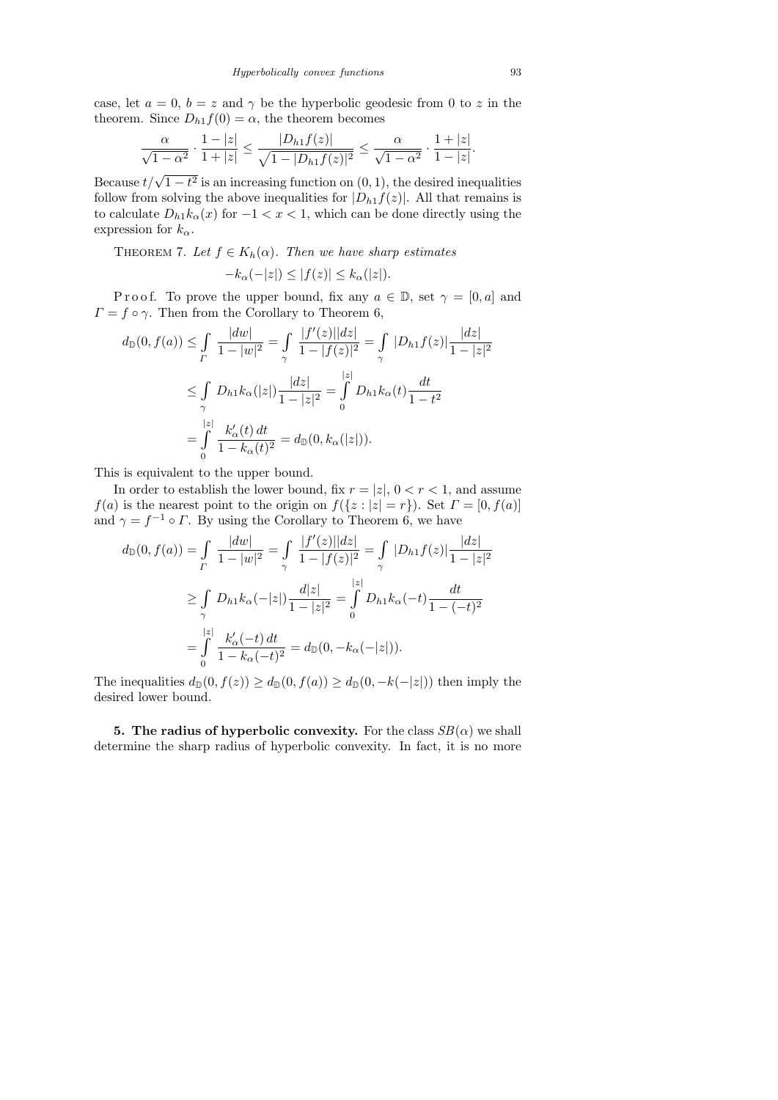case, let  $a = 0$ ,  $b = z$  and  $\gamma$  be the hyperbolic geodesic from 0 to z in the theorem. Since  $D_{h1}f(0) = \alpha$ , the theorem becomes

$$
\frac{\alpha}{\sqrt{1-\alpha^2}} \cdot \frac{1-|z|}{1+|z|} \le \frac{|D_{h1}f(z)|}{\sqrt{1-|D_{h1}f(z)|^2}} \le \frac{\alpha}{\sqrt{1-\alpha^2}} \cdot \frac{1+|z|}{1-|z|}.
$$

Because  $t/\sqrt{1-t^2}$  is an increasing function on  $(0, 1)$ , the desired inequalities follow from solving the above inequalities for  $|D_{h1}f(z)|$ . All that remains is to calculate  $D_{h1}k_{\alpha}(x)$  for  $-1 < x < 1$ , which can be done directly using the expression for  $k_{\alpha}$ .

THEOREM 7. Let  $f \in K_h(\alpha)$ . Then we have sharp estimates

$$
-k_{\alpha}(-|z|) \le |f(z)| \le k_{\alpha}(|z|).
$$

P r o o f. To prove the upper bound, fix any  $a \in \mathbb{D}$ , set  $\gamma = [0, a]$  and  $\Gamma = f \circ \gamma$ . Then from the Corollary to Theorem 6,

$$
d_{\mathbb{D}}(0, f(a)) \leq \int_{\Gamma} \frac{|dw|}{1 - |w|^2} = \int_{\gamma} \frac{|f'(z)||dz|}{1 - |f(z)|^2} = \int_{\gamma} |D_{h1}f(z)| \frac{|dz|}{1 - |z|^2}
$$
  

$$
\leq \int_{\gamma} D_{h1}k_{\alpha}(|z|) \frac{|dz|}{1 - |z|^2} = \int_{0}^{|z|} D_{h1}k_{\alpha}(t) \frac{dt}{1 - t^2}
$$
  

$$
= \int_{0}^{|z|} \frac{k'_{\alpha}(t) dt}{1 - k_{\alpha}(t)^2} = d_{\mathbb{D}}(0, k_{\alpha}(|z|)).
$$

This is equivalent to the upper bound.

In order to establish the lower bound, fix  $r = |z|$ ,  $0 < r < 1$ , and assume  $f(a)$  is the nearest point to the origin on  $f({z : |z| = r})$ . Set  $\Gamma = [0, f(a)]$ and  $\gamma = f^{-1} \circ \Gamma$ . By using the Corollary to Theorem 6, we have

$$
d_{\mathbb{D}}(0, f(a)) = \int_{\Gamma} \frac{|dw|}{1 - |w|^2} = \int_{\gamma} \frac{|f'(z)||dz|}{1 - |f(z)|^2} = \int_{\gamma} |D_{h1}f(z)| \frac{|dz|}{1 - |z|^2}
$$
  

$$
\geq \int_{\gamma} D_{h1}k_{\alpha}(-|z|) \frac{d|z|}{1 - |z|^2} = \int_{0}^{|z|} D_{h1}k_{\alpha}(-t) \frac{dt}{1 - (-t)^2}
$$
  

$$
= \int_{0}^{|z|} \frac{k'_{\alpha}(-t) dt}{1 - k_{\alpha}(-t)^2} = d_{\mathbb{D}}(0, -k_{\alpha}(-|z|)).
$$

The inequalities  $d_{\mathbb{D}}(0, f(z)) \geq d_{\mathbb{D}}(0, f(a)) \geq d_{\mathbb{D}}(0, -k(-|z|))$  then imply the desired lower bound.

5. The radius of hyperbolic convexity. For the class  $SB(\alpha)$  we shall determine the sharp radius of hyperbolic convexity. In fact, it is no more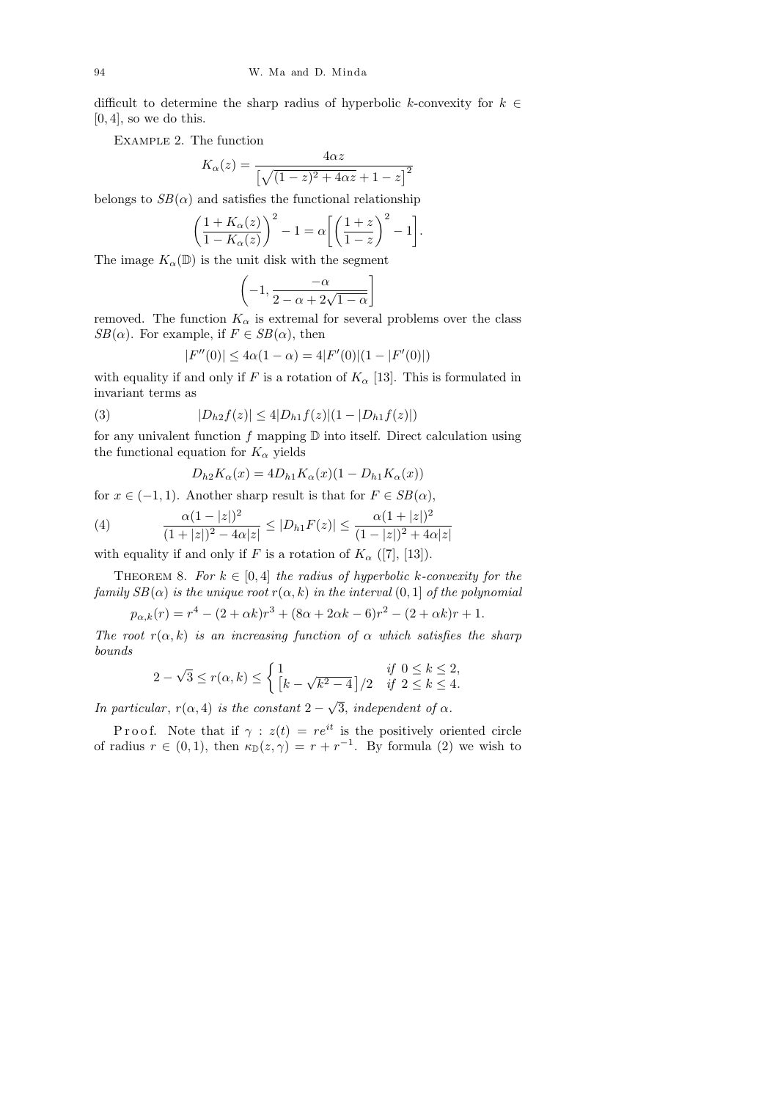difficult to determine the sharp radius of hyperbolic k-convexity for  $k \in$  $[0, 4]$ , so we do this.

Example 2. The function

$$
K_{\alpha}(z) = \frac{4\alpha z}{\left[\sqrt{(1-z)^2 + 4\alpha z} + 1 - z\right]^2}
$$

belongs to  $SB(\alpha)$  and satisfies the functional relationship

$$
\left(\frac{1+K_{\alpha}(z)}{1-K_{\alpha}(z)}\right)^2 - 1 = \alpha \left[ \left(\frac{1+z}{1-z}\right)^2 - 1 \right].
$$

The image  $K_{\alpha}(\mathbb{D})$  is the unit disk with the segment

$$
\left(-1, \frac{-\alpha}{2 - \alpha + 2\sqrt{1 - \alpha}}\right]
$$

removed. The function  $K_{\alpha}$  is extremal for several problems over the class  $SB(\alpha)$ . For example, if  $F \in SB(\alpha)$ , then

$$
|F''(0)| \le 4\alpha(1-\alpha) = 4|F'(0)|(1-|F'(0)|)
$$

with equality if and only if F is a rotation of  $K_{\alpha}$  [13]. This is formulated in invariant terms as

(3) 
$$
|D_{h2}f(z)| \le 4|D_{h1}f(z)|(1-|D_{h1}f(z)|)
$$

for any univalent function  $f$  mapping  $D$  into itself. Direct calculation using the functional equation for  $K_{\alpha}$  yields

$$
D_{h2}K_{\alpha}(x) = 4D_{h1}K_{\alpha}(x)(1 - D_{h1}K_{\alpha}(x))
$$

for  $x \in (-1, 1)$ . Another sharp result is that for  $F \in SB(\alpha)$ ,

(4) 
$$
\frac{\alpha(1-|z|)^2}{(1+|z|)^2-4\alpha|z|} \le |D_{h1}F(z)| \le \frac{\alpha(1+|z|)^2}{(1-|z|)^2+4\alpha|z|}
$$

with equality if and only if F is a rotation of  $K_{\alpha}$  ([7], [13]).

THEOREM 8. For  $k \in [0, 4]$  the radius of hyperbolic k-convexity for the family  $SB(\alpha)$  is the unique root  $r(\alpha, k)$  in the interval  $(0, 1]$  of the polynomial

$$
p_{\alpha,k}(r) = r^4 - (2 + \alpha k)r^3 + (8\alpha + 2\alpha k - 6)r^2 - (2 + \alpha k)r + 1.
$$

The root  $r(\alpha, k)$  is an increasing function of  $\alpha$  which satisfies the sharp bounds

$$
2 - \sqrt{3} \le r(\alpha, k) \le \begin{cases} 1 & \text{if } 0 \le k \le 2, \\ \left[k - \sqrt{k^2 - 4}\right] / 2 & \text{if } 2 \le k \le 4. \end{cases}
$$

In particular,  $r(\alpha, 4)$  is the constant 2 – 3, independent of  $\alpha$ .

P r o o f. Note that if  $\gamma : z(t) = re^{it}$  is the positively oriented circle of radius  $r \in (0,1)$ , then  $\kappa_{\mathbb{D}}(z,\gamma) = r + r^{-1}$ . By formula (2) we wish to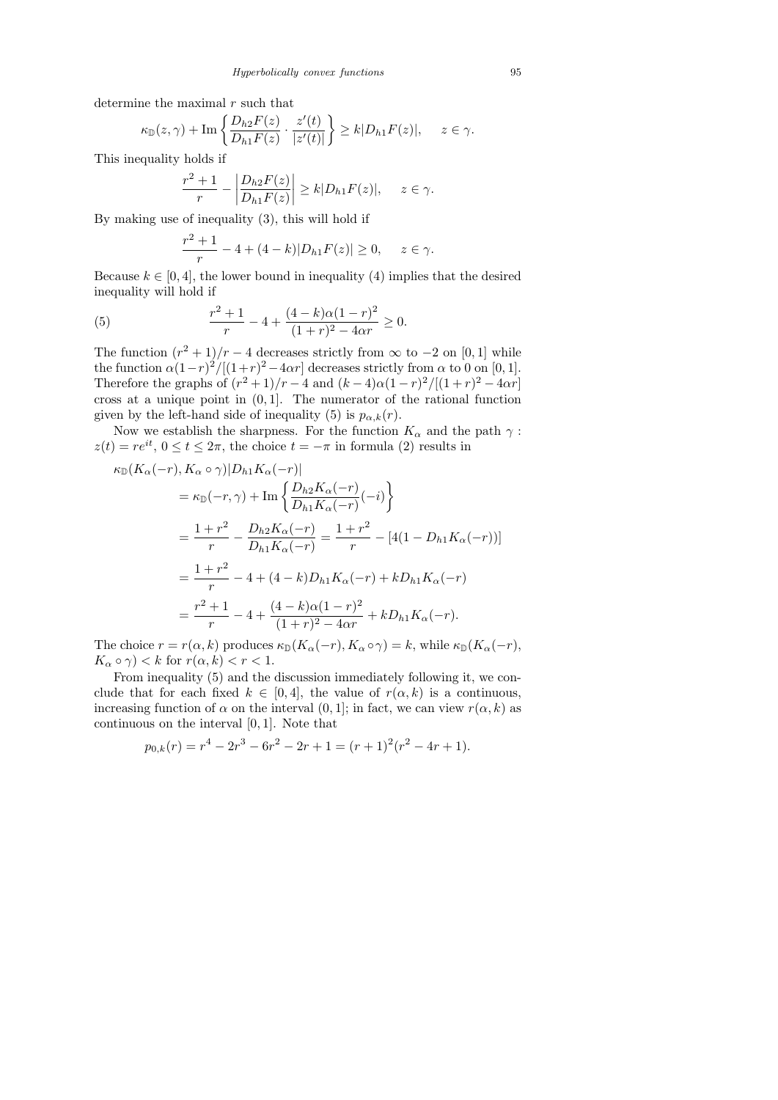determine the maximal  $r$  such that

$$
\kappa_{\mathbb{D}}(z,\gamma)+\operatorname{Im}\left\{\frac{D_{h2}F(z)}{D_{h1}F(z)}\cdot\frac{z'(t)}{|z'(t)|}\right\}\geq k|D_{h1}F(z)|,\quad z\in\gamma.
$$

This inequality holds if

$$
\left|\frac{r^2+1}{r}-\left|\frac{D_{h2}F(z)}{D_{h1}F(z)}\right|\geq k|D_{h1}F(z)|,\quad z\in\gamma.
$$

By making use of inequality (3), this will hold if

$$
\frac{r^2+1}{r} - 4 + (4-k)|D_{h1}F(z)| \ge 0, \quad z \in \gamma.
$$

Because  $k \in [0, 4]$ , the lower bound in inequality (4) implies that the desired inequality will hold if

(5) 
$$
\frac{r^2+1}{r} - 4 + \frac{(4-k)\alpha(1-r)^2}{(1+r)^2 - 4\alpha r} \ge 0.
$$

The function  $(r^2 + 1)/r - 4$  decreases strictly from  $\infty$  to  $-2$  on [0, 1] while the function  $\alpha(1-r)^2/[(1+r)^2-4\alpha r]$  decreases strictly from  $\alpha$  to 0 on [0, 1]. Therefore the graphs of  $(r^2 + 1)/r - 4$  and  $(k - 4)\alpha(1 - r)^2/[(1 + r)^2 - 4\alpha r]$ cross at a unique point in  $(0, 1]$ . The numerator of the rational function given by the left-hand side of inequality (5) is  $p_{\alpha,k}(r)$ .

Now we establish the sharpness. For the function  $K_{\alpha}$  and the path  $\gamma$ :  $z(t) = re^{it}, 0 \le t \le 2\pi$ , the choice  $t = -\pi$  in formula (2) results in

$$
\kappa_{\mathbb{D}}(K_{\alpha}(-r), K_{\alpha} \circ \gamma)|D_{h1}K_{\alpha}(-r)|
$$
  
\n
$$
= \kappa_{\mathbb{D}}(-r, \gamma) + \text{Im}\left\{\frac{D_{h2}K_{\alpha}(-r)}{D_{h1}K_{\alpha}(-r)}(-i)\right\}
$$
  
\n
$$
= \frac{1+r^2}{r} - \frac{D_{h2}K_{\alpha}(-r)}{D_{h1}K_{\alpha}(-r)} = \frac{1+r^2}{r} - [4(1 - D_{h1}K_{\alpha}(-r))]
$$
  
\n
$$
= \frac{1+r^2}{r} - 4 + (4-k)D_{h1}K_{\alpha}(-r) + kD_{h1}K_{\alpha}(-r)
$$
  
\n
$$
= \frac{r^2+1}{r} - 4 + \frac{(4-k)\alpha(1-r)^2}{(1+r)^2 - 4\alpha r} + kD_{h1}K_{\alpha}(-r).
$$

The choice  $r = r(\alpha, k)$  produces  $\kappa_{\mathbb{D}}(K_{\alpha}(-r), K_{\alpha} \circ \gamma) = k$ , while  $\kappa_{\mathbb{D}}(K_{\alpha}(-r),$  $K_{\alpha} \circ \gamma$  < k for  $r(\alpha, k) < r < 1$ .

From inequality (5) and the discussion immediately following it, we conclude that for each fixed  $k \in [0, 4]$ , the value of  $r(\alpha, k)$  is a continuous, increasing function of  $\alpha$  on the interval  $(0, 1]$ ; in fact, we can view  $r(\alpha, k)$  as continuous on the interval [0, 1]. Note that

$$
p_{0,k}(r) = r^4 - 2r^3 - 6r^2 - 2r + 1 = (r+1)^2(r^2 - 4r + 1).
$$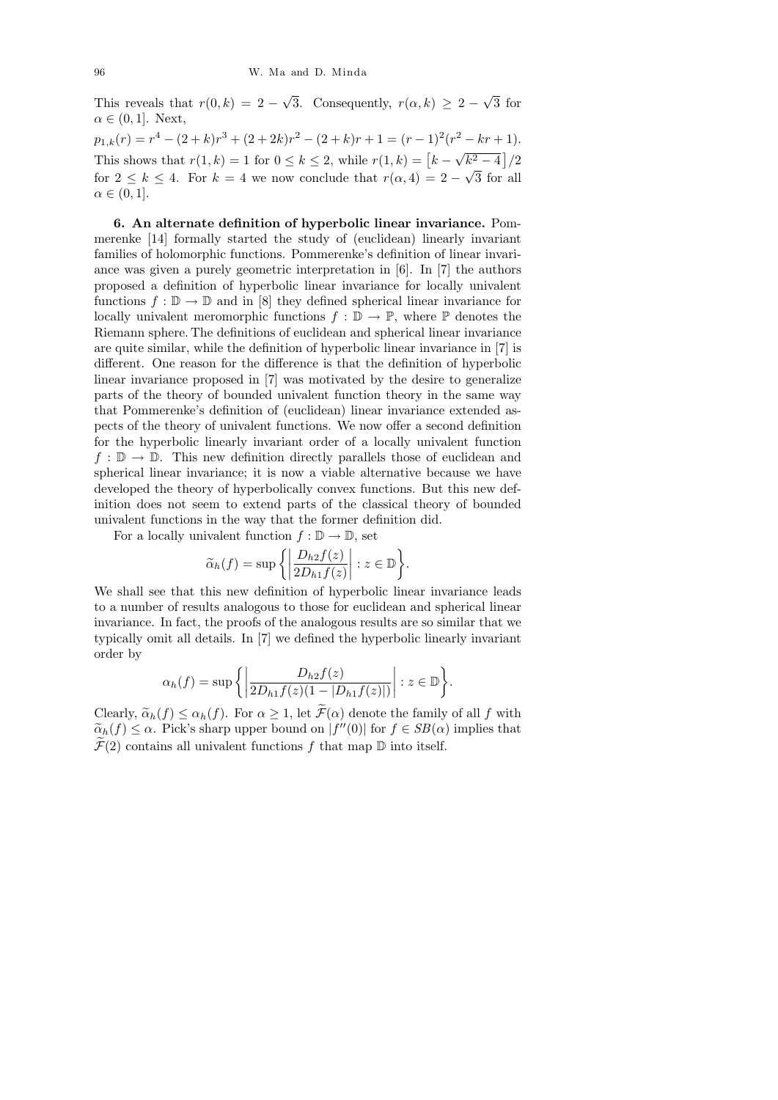√

√

This reveals that  $r(0, k) = 2 -$ 3. Consequently,  $r(\alpha, k) \geq 2$  – 3 for  $\alpha \in (0,1]$ . Next,  $p_{1,k}(r) = r^4 - (2 + k)r^3 + (2 + 2k)r^2 - (2 + k)r + 1 = (r - 1)^2(r^2 - kr + 1).$ This shows that  $r(1, k) = 1$  for  $0 \le k \le 2$ , while  $r(1, k) = [k -$ √  $\sqrt{k^2-4}$  |/2 for  $2 \leq k \leq 4$ . For  $k = 4$  we now conclude that  $r(\alpha, 4) = 2 - \sqrt{3}$  for all  $\alpha \in (0,1].$ 

6. An alternate definition of hyperbolic linear invariance. Pommerenke [14] formally started the study of (euclidean) linearly invariant families of holomorphic functions. Pommerenke's definition of linear invariance was given a purely geometric interpretation in [6]. In [7] the authors proposed a definition of hyperbolic linear invariance for locally univalent functions  $f : \mathbb{D} \to \mathbb{D}$  and in [8] they defined spherical linear invariance for locally univalent meromorphic functions  $f : \mathbb{D} \to \mathbb{P}$ , where  $\mathbb P$  denotes the Riemann sphere. The definitions of euclidean and spherical linear invariance are quite similar, while the definition of hyperbolic linear invariance in [7] is different. One reason for the difference is that the definition of hyperbolic linear invariance proposed in [7] was motivated by the desire to generalize parts of the theory of bounded univalent function theory in the same way that Pommerenke's definition of (euclidean) linear invariance extended aspects of the theory of univalent functions. We now offer a second definition for the hyperbolic linearly invariant order of a locally univalent function  $f : \mathbb{D} \to \mathbb{D}$ . This new definition directly parallels those of euclidean and spherical linear invariance; it is now a viable alternative because we have developed the theory of hyperbolically convex functions. But this new definition does not seem to extend parts of the classical theory of bounded univalent functions in the way that the former definition did.

For a locally univalent function  $f : \mathbb{D} \to \mathbb{D}$ , set

$$
\widetilde{\alpha}_h(f) = \sup \left\{ \left| \frac{D_{h2}f(z)}{2D_{h1}f(z)} \right| : z \in \mathbb{D} \right\}.
$$

We shall see that this new definition of hyperbolic linear invariance leads to a number of results analogous to those for euclidean and spherical linear invariance. In fact, the proofs of the analogous results are so similar that we typically omit all details. In [7] we defined the hyperbolic linearly invariant order by

$$
\alpha_h(f) = \sup \left\{ \left| \frac{D_{h2}f(z)}{2D_{h1}f(z)(1 - |D_{h1}f(z)|)} \right| : z \in \mathbb{D} \right\}.
$$

Clearly,  $\tilde{\alpha}_h(f) \leq \alpha_h(f)$ . For  $\alpha \geq 1$ , let  $\tilde{\mathcal{F}}(\alpha)$  denote the family of all f with  $\tilde{\alpha}_h(f) \leq \alpha$ . Pick's sharp upper bound on  $|f''(0)|$  for  $f \in SB(\alpha)$  implies that  $\tilde{\mathcal{T}}(0)$  contains all unimplant functions functions  $\mathbb{R}$  into itself.  $\mathcal{F}(2)$  contains all univalent functions f that map  $\mathbb D$  into itself.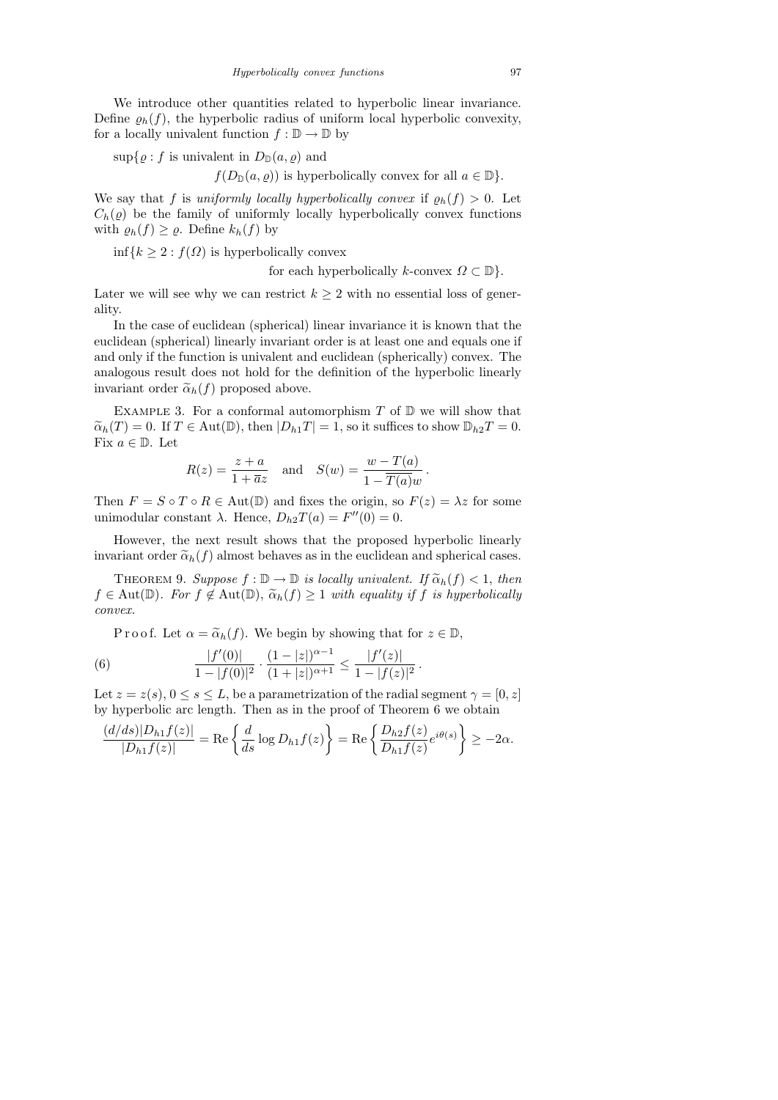We introduce other quantities related to hyperbolic linear invariance. Define  $\rho_h(f)$ , the hyperbolic radius of uniform local hyperbolic convexity, for a locally univalent function  $f : \mathbb{D} \to \mathbb{D}$  by

$$
\sup\{\varrho: f \text{ is univalent in } D_{\mathbb{D}}(a,\varrho) \text{ and }
$$

 $f(D_{\mathbb{D}}(a, \rho))$  is hyperbolically convex for all  $a \in \mathbb{D}$ .

We say that f is uniformly locally hyperbolically convex if  $\rho_h(f) > 0$ . Let  $C_h(\varrho)$  be the family of uniformly locally hyperbolically convex functions with  $\varrho_h(f) \geq \varrho$ . Define  $k_h(f)$  by

 $\inf\{k \geq 2 : f(\Omega)$  is hyperbolically convex

for each hyperbolically k-convex  $\Omega \subset \mathbb{D}$ .

.

Later we will see why we can restrict  $k \geq 2$  with no essential loss of generality.

In the case of euclidean (spherical) linear invariance it is known that the euclidean (spherical) linearly invariant order is at least one and equals one if and only if the function is univalent and euclidean (spherically) convex. The analogous result does not hold for the definition of the hyperbolic linearly invariant order  $\tilde{\alpha}_h(f)$  proposed above.

EXAMPLE 3. For a conformal automorphism  $T$  of  $D$  we will show that  $\widetilde{\alpha}_h(T) = 0$ . If  $T \in \text{Aut}(\mathbb{D})$ , then  $|D_{h_1}T| = 1$ , so it suffices to show  $\mathbb{D}_{h_2}T = 0$ . Fix  $a \in \mathbb{D}$ . Let

$$
R(z) = \frac{z+a}{1+\overline{a}z} \quad \text{and} \quad S(w) = \frac{w-T(a)}{1-\overline{T(a)}w}.
$$

Then  $F = S \circ T \circ R \in \text{Aut}(\mathbb{D})$  and fixes the origin, so  $F(z) = \lambda z$  for some unimodular constant  $\lambda$ . Hence,  $D_{h2}T(a) = F''(0) = 0$ .

However, the next result shows that the proposed hyperbolic linearly invariant order  $\tilde{\alpha}_h(f)$  almost behaves as in the euclidean and spherical cases.

THEOREM 9. Suppose  $f : \mathbb{D} \to \mathbb{D}$  is locally univalent. If  $\widetilde{\alpha}_h(f) < 1$ , then  $f \in \text{Aut}(\mathbb{D})$ . For  $f \notin \text{Aut}(\mathbb{D})$ ,  $\widetilde{\alpha}_h(f) \geq 1$  with equality if f is hyperbolically convex.

P r o o f. Let  $\alpha = \tilde{\alpha}_h(f)$ . We begin by showing that for  $z \in \mathbb{D}$ ,

(6) 
$$
\frac{|f'(0)|}{1-|f(0)|^2} \cdot \frac{(1-|z|)^{\alpha-1}}{(1+|z|)^{\alpha+1}} \le \frac{|f'(z)|}{1-|f(z)|^2}
$$

Let  $z = z(s)$ ,  $0 \le s \le L$ , be a parametrization of the radial segment  $\gamma = [0, z]$ by hyperbolic arc length. Then as in the proof of Theorem 6 we obtain

$$
\frac{(d/ds)|D_{h1}f(z)|}{|D_{h1}f(z)|} = \text{Re}\left\{\frac{d}{ds}\log D_{h1}f(z)\right\} = \text{Re}\left\{\frac{D_{h2}f(z)}{D_{h1}f(z)}e^{i\theta(s)}\right\} \ge -2\alpha.
$$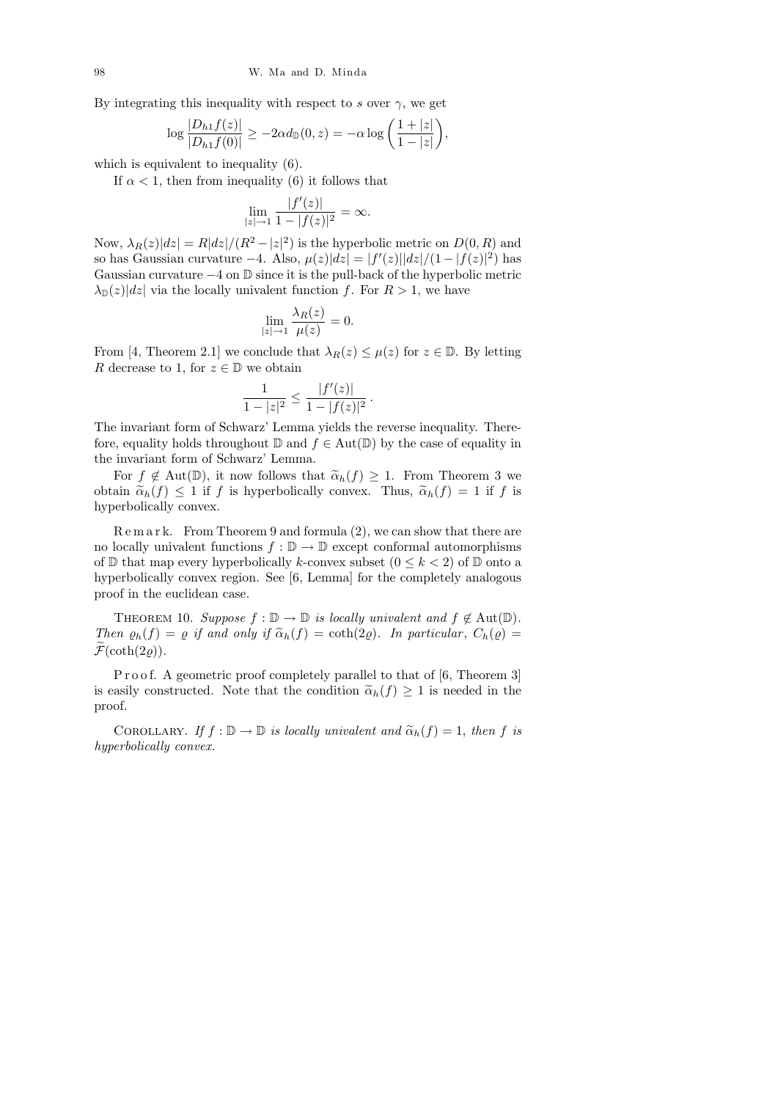By integrating this inequality with respect to s over  $\gamma$ , we get

$$
\log\frac{|D_{h1}f(z)|}{|D_{h1}f(0)|}\geq-2\alpha d_{\mathbb{D}}(0,z)=-\alpha\log\bigg(\frac{1+|z|}{1-|z|}\bigg),
$$

which is equivalent to inequality (6).

If  $\alpha$  < 1, then from inequality (6) it follows that

$$
\lim_{|z| \to 1} \frac{|f'(z)|}{1 - |f(z)|^2} = \infty.
$$

Now,  $\lambda_R(z)|dz| = R|dz|/(R^2 - |z|^2)$  is the hyperbolic metric on  $D(0, R)$  and so has Gaussian curvature  $-4$ . Also,  $\mu(z)|dz| = |f'(z)||dz|/(1-|f(z)|^2)$  has Gaussian curvature  $-4$  on  $\mathbb D$  since it is the pull-back of the hyperbolic metric  $\lambda_{\mathbb{D}}(z)|dz|$  via the locally univalent function f. For  $R > 1$ , we have

$$
\lim_{|z| \to 1} \frac{\lambda_R(z)}{\mu(z)} = 0.
$$

From [4, Theorem 2.1] we conclude that  $\lambda_R(z) \leq \mu(z)$  for  $z \in \mathbb{D}$ . By letting R decrease to 1, for  $z \in \mathbb{D}$  we obtain

$$
\frac{1}{1-|z|^2} \le \frac{|f'(z)|}{1-|f(z)|^2}.
$$

The invariant form of Schwarz' Lemma yields the reverse inequality. Therefore, equality holds throughout  $\mathbb D$  and  $f \in Aut(\mathbb D)$  by the case of equality in the invariant form of Schwarz' Lemma.

For  $f \notin Aut(\mathbb{D})$ , it now follows that  $\widetilde{\alpha}_h(f) \geq 1$ . From Theorem 3 we obtain  $\tilde{\alpha}_h(f) \leq 1$  if f is hyperbolically convex. Thus,  $\tilde{\alpha}_h(f) = 1$  if f is hyperbolically convex.

 $R \text{ e m a r k. From Theorem 9 and formula (2), we can show that there are$ no locally univalent functions  $f : \mathbb{D} \to \mathbb{D}$  except conformal automorphisms of  $\mathbb D$  that map every hyperbolically k-convex subset  $(0 \leq k < 2)$  of  $\mathbb D$  onto a hyperbolically convex region. See [6, Lemma] for the completely analogous proof in the euclidean case.

THEOREM 10. Suppose  $f : \mathbb{D} \to \mathbb{D}$  is locally univalent and  $f \notin \text{Aut}(\mathbb{D})$ . Then  $\varrho_h(f) = \varrho$  if and only if  $\widetilde{\alpha}_h(f) = \coth(2\varrho)$ . In particular,  $C_h(\varrho) =$  $\widetilde{\mathcal{F}}(\coth(2\rho)).$ 

P r o o f. A geometric proof completely parallel to that of [6, Theorem 3] is easily constructed. Note that the condition  $\tilde{\alpha}_h(f) \geq 1$  is needed in the proof.

COROLLARY. If  $f : \mathbb{D} \to \mathbb{D}$  is locally univalent and  $\widetilde{\alpha}_h(f) = 1$ , then f is hyperbolically convex.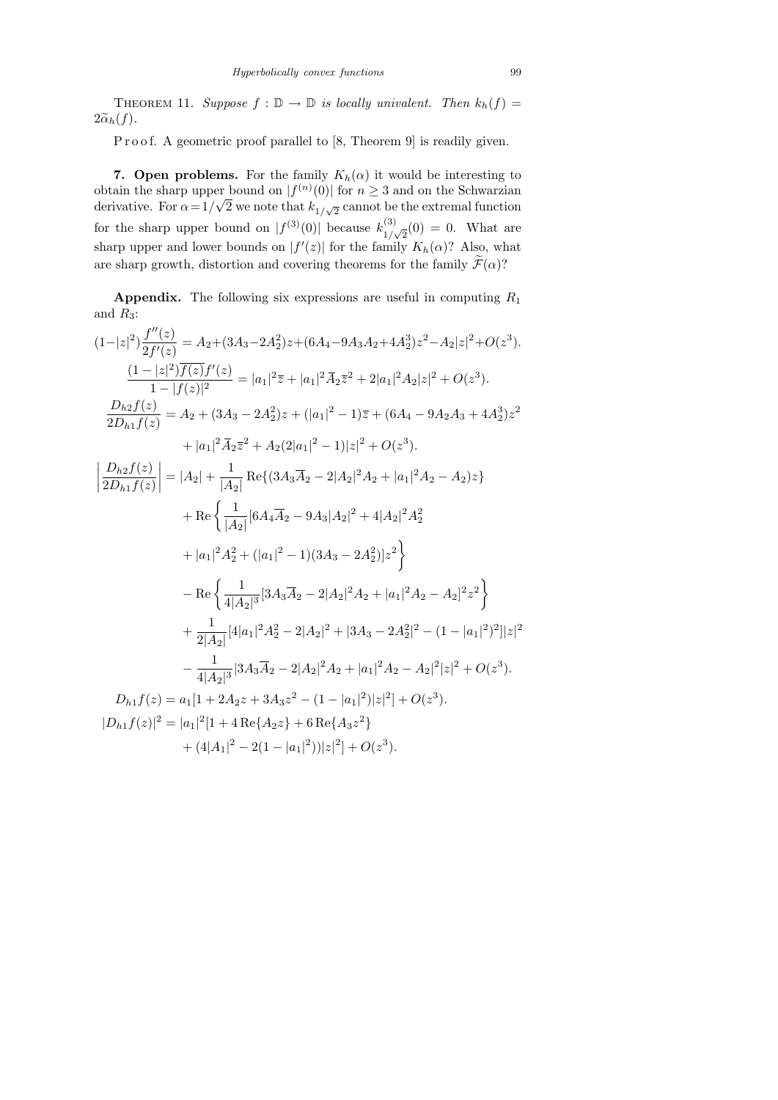THEOREM 11. Suppose  $f : \mathbb{D} \to \mathbb{D}$  is locally univalent. Then  $k_h(f) =$  $2\widetilde{\alpha}_h(f)$ .

P r o o f. A geometric proof parallel to [8, Theorem 9] is readily given.

7. Open problems. For the family  $K_h(\alpha)$  it would be interesting to obtain the sharp upper bound on  $|f^{(n)}(0)|$  for  $n \geq 3$  and on the Schwarzian derivative. For  $\alpha = 1/\sqrt{2}$  we note that  $k_{1/\sqrt{2}}$  cannot be the extremal function for the sharp upper bound on  $|f^{(3)}(0)|$  because  $k_{1}^{(3)}$  $_{1/\sqrt{2}}^{(3)}(0) = 0$ . What are sharp upper and lower bounds on  $|f'(z)|$  for the family  $K_h(\alpha)$ ? Also, what are sharp growth, distortion and covering theorems for the family  $\mathcal{F}(\alpha)$ ?

**Appendix.** The following six expressions are useful in computing  $R_1$ and  $R_3$ :

$$
(1-|z|^2)\frac{f''(z)}{2f'(z)} = A_2+(3A_3-2A_2^2)z+(6A_4-9A_3A_2+4A_2^3)z^2-A_2|z|^2+O(z^3).
$$
  
\n
$$
\frac{(1-|z|^2)\overline{f(z)}f'(z)}{1-|f(z)|^2} = |a_1|^2\overline{z}+|a_1|^2\overline{A}_2\overline{z}^2+2|a_1|^2A_2|z|^2+O(z^3).
$$
  
\n
$$
\frac{D_{h2}f(z)}{2D_{h1}f(z)} = A_2+(3A_3-2A_2^2)z+(|a_1|^2-1)\overline{z}+(6A_4-9A_2A_3+4A_2^3)z^2
$$
  
\n
$$
+|a_1|^2\overline{A}_2\overline{z}^2+A_2(2|a_1|^2-1)|z|^2+O(z^3).
$$
  
\n
$$
\left|\frac{D_{h2}f(z)}{2D_{h1}f(z)}\right| = |A_2| + \frac{1}{|A_2|}\operatorname{Re}\{(3A_3\overline{A}_2-2|A_2|^2A_2+|a_1|^2A_2-A_2)z\}
$$
  
\n
$$
+ \operatorname{Re}\left\{\frac{1}{|A_2|}[6A_4\overline{A}_2-9A_3|A_2|^2+4|A_2|^2A_2^2
$$
  
\n
$$
+|a_1|^2A_2^2+(|a_1|^2-1)(3A_3-2A_2^2)|z^2\right\}
$$
  
\n
$$
- \operatorname{Re}\left\{\frac{1}{4|A_2|^3}[3A_3\overline{A}_2-2|A_2|^2A_2+|a_1|^2A_2-A_2|^2z^2\right\}
$$
  
\n
$$
+ \frac{1}{2|A_2|}[4|a_1|^2A_2^2-2|A_2|^2+|3A_3-2A_2^2|^2-(1-|a_1|^2)^2]|z|^2
$$
  
\n
$$
- \frac{1}{4|A_2|^3}[3A_3\overline{A}_2-2|A_2|^2A_2+|a_1|^2A_2-A_2|^2|z|^2+O(z^3).
$$